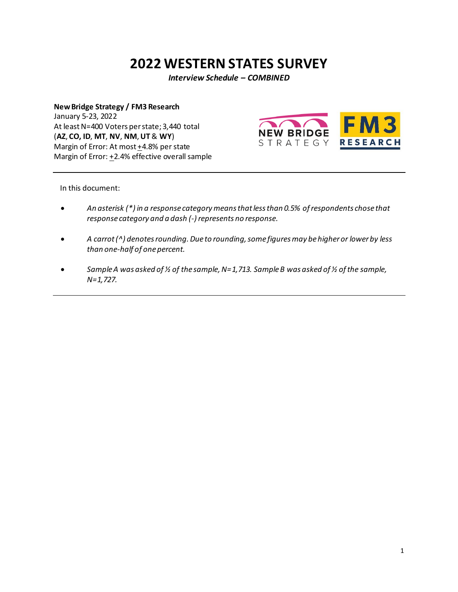# **2022 WESTERN STATES SURVEY**

*Interview Schedule – COMBINED*

**New Bridge Strategy / FM3 Research** January 5-23, 2022 At least N=400 Voters per state; 3,440 total (**AZ**, **CO, ID**, **MT**, **NV**, **NM**, **UT** & **WY**) Margin of Error: At most +4.8% per state Margin of Error: +2.4% effective overall sample



In this document:

- *An asterisk (\*) in a response category means that less than 0.5% of respondents chose that response category and a dash (‐) represents no response.*
- *A carrot (^) denotes rounding. Due to rounding, some figures may be higher or lower by less than one‐half of one percent.*
- *Sample A was asked of ½ of the sample, N=1,713. Sample B was asked of ½ of the sample, N=1,727.*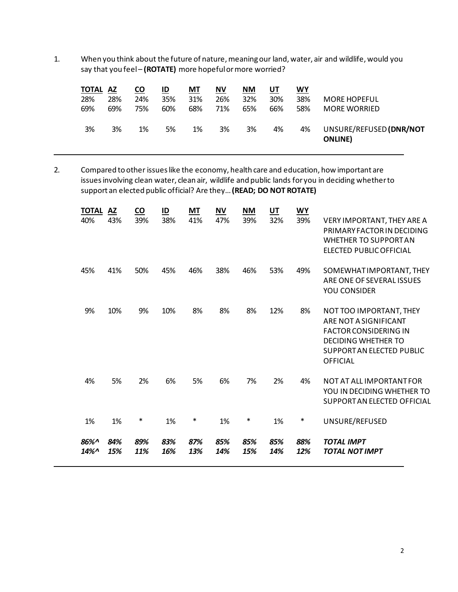1. When you think about the future of nature, meaning our land, water, air and wildlife, would you say that you feel – **(ROTATE)** more hopeful or more worried?

| <b>TOTAL AZ</b> |     | <u>co</u> | ID  | MT  | ΝV  | <b>NM</b> | <u>UT</u> | <u>WY</u> |                                            |
|-----------------|-----|-----------|-----|-----|-----|-----------|-----------|-----------|--------------------------------------------|
| 28%             | 28% | 24%       | 35% | 31% | 26% | 32%       | 30%       | 38%       | <b>MORE HOPEFUL</b>                        |
| 69%             | 69% | 75%       | 60% | 68% | 71% | 65%       | 66%       | 58%       | <b>MORE WORRIED</b>                        |
| 3%              | 3%  | 1%        | 5%  | 1%  | 3%  | 3%        | 4%        | 4%        | UNSURE/REFUSED (DNR/NOT<br><b>ONLINE</b> ) |

2. Compared to other issues like the economy, health care and education, how important are issues involving clean water, clean air, wildlife and public lands for you in deciding whether to support an elected public official? Are they… **(READ; DO NOT ROTATE)**

| <b>TOTAL</b><br>40% | <b>AZ</b><br>43% | $\underline{co}$<br>39% | $\underline{\mathsf{ID}}$<br>38% | MT<br>41%  | <b>NV</b><br>47% | <b>NM</b><br>39% | $U$ <sup>T</sup><br>32% | <u>WY</u><br>39% | <b>VERY IMPORTANT, THEY ARE A</b><br>PRIMARY FACTOR IN DECIDING<br><b>WHETHER TO SUPPORT AN</b><br>ELECTED PUBLIC OFFICIAL                                     |
|---------------------|------------------|-------------------------|----------------------------------|------------|------------------|------------------|-------------------------|------------------|----------------------------------------------------------------------------------------------------------------------------------------------------------------|
| 45%                 | 41%              | 50%                     | 45%                              | 46%        | 38%              | 46%              | 53%                     | 49%              | SOMEWHAT IMPORTANT, THEY<br>ARE ONE OF SEVERAL ISSUES<br>YOU CONSIDER                                                                                          |
| 9%                  | 10%              | 9%                      | 10%                              | 8%         | 8%               | 8%               | 12%                     | 8%               | NOT TOO IMPORTANT, THEY<br>ARE NOT A SIGNIFICANT<br><b>FACTOR CONSIDERING IN</b><br><b>DECIDING WHETHER TO</b><br>SUPPORT AN ELECTED PUBLIC<br><b>OFFICIAL</b> |
| 4%                  | 5%               | 2%                      | 6%                               | 5%         | 6%               | 7%               | 2%                      | 4%               | NOT AT ALL IMPORTANT FOR<br>YOU IN DECIDING WHETHER TO<br>SUPPORT AN ELECTED OFFICIAL                                                                          |
| 1%                  | 1%               | ∗                       | 1%                               | $\ast$     | 1%               | ∗                | 1%                      | $\ast$           | UNSURE/REFUSED                                                                                                                                                 |
| 86%^<br>14%^        | 84%<br>15%       | 89%<br>11%              | 83%<br>16%                       | 87%<br>13% | 85%<br>14%       | 85%<br>15%       | 85%<br>14%              | 88%<br>12%       | <b>TOTAL IMPT</b><br><b>TOTAL NOT IMPT</b>                                                                                                                     |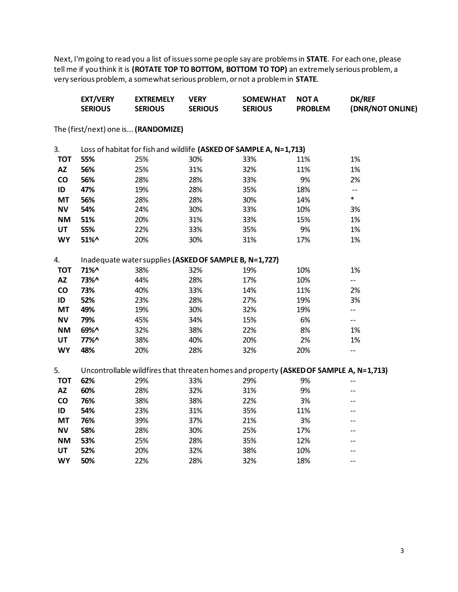Next, I'm going to read you a list of issues some people say are problems in **STATE**. For each one, please tell me if you think it is **(ROTATE TOP TO BOTTOM, BOTTOM TO TOP)** an extremely serious problem, a very serious problem, a somewhat serious problem, or not a problem in **STATE**.

|               | <b>EXT/VERY</b><br><b>SERIOUS</b> | <b>EXTREMELY</b><br><b>SERIOUS</b>                     | <b>VERY</b><br><b>SERIOUS</b> | <b>SOMEWHAT</b><br><b>SERIOUS</b>                                                      | <b>NOTA</b><br><b>PROBLEM</b> | <b>DK/REF</b><br>(DNR/NOT ONLINE) |
|---------------|-----------------------------------|--------------------------------------------------------|-------------------------------|----------------------------------------------------------------------------------------|-------------------------------|-----------------------------------|
|               |                                   | The (first/next) one is (RANDOMIZE)                    |                               |                                                                                        |                               |                                   |
| 3.            |                                   |                                                        |                               | Loss of habitat for fish and wildlife (ASKED OF SAMPLE A, N=1,713)                     |                               |                                   |
| <b>TOT</b>    | 55%                               | 25%                                                    | 30%                           | 33%                                                                                    | 11%                           | 1%                                |
| <b>AZ</b>     | 56%                               | 25%                                                    | 31%                           | 32%                                                                                    | 11%                           | 1%                                |
| co            | 56%                               | 28%                                                    | 28%                           | 33%                                                                                    | 9%                            | 2%                                |
| ID            | 47%                               | 19%                                                    | 28%                           | 35%                                                                                    | 18%                           | $-$                               |
| <b>MT</b>     | 56%                               | 28%                                                    | 28%                           | 30%                                                                                    | 14%                           | $\ast$                            |
| <b>NV</b>     | 54%                               | 24%                                                    | 30%                           | 33%                                                                                    | 10%                           | 3%                                |
| <b>NM</b>     | 51%                               | 20%                                                    | 31%                           | 33%                                                                                    | 15%                           | 1%                                |
| <b>UT</b>     | 55%                               | 22%                                                    | 33%                           | 35%                                                                                    | 9%                            | 1%                                |
| <b>WY</b>     | 51%^                              | 20%                                                    | 30%                           | 31%                                                                                    | 17%                           | 1%                                |
| 4.            |                                   | Inadequate water supplies (ASKED OF SAMPLE B, N=1,727) |                               |                                                                                        |                               |                                   |
| <b>TOT</b>    | 71%^                              | 38%                                                    | 32%                           | 19%                                                                                    | 10%                           | 1%                                |
| <b>AZ</b>     | 73%^                              | 44%                                                    | 28%                           | 17%                                                                                    | 10%                           | $-$                               |
| co            | 73%                               | 40%                                                    | 33%                           | 14%                                                                                    | 11%                           | 2%                                |
| ID            | 52%                               | 23%                                                    | 28%                           | 27%                                                                                    | 19%                           | 3%                                |
| <b>MT</b>     | 49%                               | 19%                                                    | 30%                           | 32%                                                                                    | 19%                           | $- -$                             |
| <b>NV</b>     | 79%                               | 45%                                                    | 34%                           | 15%                                                                                    | 6%                            | $\overline{\phantom{a}}$          |
| <b>NM</b>     | 69%^                              | 32%                                                    | 38%                           | 22%                                                                                    | 8%                            | 1%                                |
| UT            | 77%^                              | 38%                                                    | 40%                           | 20%                                                                                    | 2%                            | 1%                                |
| <b>WY</b>     | 48%                               | 20%                                                    | 28%                           | 32%                                                                                    | 20%                           | $- -$                             |
| 5.            |                                   |                                                        |                               | Uncontrollable wildfires that threaten homes and property (ASKED OF SAMPLE A, N=1,713) |                               |                                   |
| <b>TOT</b>    | 62%                               | 29%                                                    | 33%                           | 29%                                                                                    | 9%                            | $\overline{\phantom{a}}$          |
| <b>AZ</b>     | 60%                               | 28%                                                    | 32%                           | 31%                                                                                    | 9%                            | --                                |
| $\mathsf{co}$ | 76%                               | 38%                                                    | 38%                           | 22%                                                                                    | 3%                            | $-$                               |
| ID            | 54%                               | 23%                                                    | 31%                           | 35%                                                                                    | 11%                           |                                   |
| <b>MT</b>     | 76%                               | 39%                                                    | 37%                           | 21%                                                                                    | 3%                            | --                                |
| <b>NV</b>     | 58%                               | 28%                                                    | 30%                           | 25%                                                                                    | 17%                           | --                                |
| <b>NM</b>     | 53%                               | 25%                                                    | 28%                           | 35%                                                                                    | 12%                           | --                                |
| UT            | 52%                               | 20%                                                    | 32%                           | 38%                                                                                    | 10%                           | --                                |
| <b>WY</b>     | 50%                               | 22%                                                    | 28%                           | 32%                                                                                    | 18%                           | $-$                               |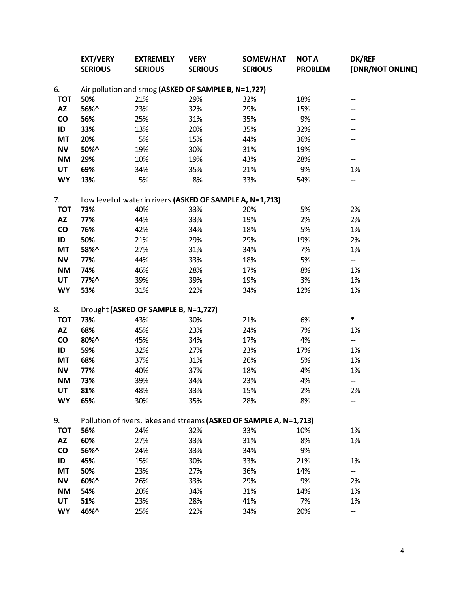|                              | <b>EXT/VERY</b><br><b>SERIOUS</b> | <b>EXTREMELY</b><br><b>SERIOUS</b>                        | <b>VERY</b><br><b>SERIOUS</b> | <b>SOMEWHAT</b><br><b>SERIOUS</b>                                   | <b>NOT A</b><br><b>PROBLEM</b> | DK/REF<br>(DNR/NOT ONLINE) |
|------------------------------|-----------------------------------|-----------------------------------------------------------|-------------------------------|---------------------------------------------------------------------|--------------------------------|----------------------------|
| 6.                           |                                   | Air pollution and smog (ASKED OF SAMPLE B, N=1,727)       |                               |                                                                     |                                |                            |
| <b>TOT</b>                   | 50%                               | 21%                                                       | 29%                           | 32%                                                                 | 18%                            | --                         |
| <b>AZ</b>                    | 56%^                              | 23%                                                       | 32%                           | 29%                                                                 | 15%                            | --                         |
| $\mathsf{co}$                | 56%                               | 25%                                                       | 31%                           | 35%                                                                 | 9%                             | --                         |
| ID                           | 33%                               | 13%                                                       | 20%                           | 35%                                                                 | 32%                            | --                         |
| MT                           | 20%                               | 5%                                                        | 15%                           | 44%                                                                 | 36%                            | --                         |
| <b>NV</b>                    | 50%^                              | 19%                                                       | 30%                           | 31%                                                                 | 19%                            | --                         |
| <b>NM</b>                    | 29%                               | 10%                                                       | 19%                           | 43%                                                                 | 28%                            | --                         |
| UT                           | 69%                               | 34%                                                       | 35%                           | 21%                                                                 | 9%                             | 1%                         |
| <b>WY</b>                    | 13%                               | 5%                                                        | 8%                            | 33%                                                                 | 54%                            | --                         |
| 7.                           |                                   | Low level of water in rivers (ASKED OF SAMPLE A, N=1,713) |                               |                                                                     |                                |                            |
| <b>TOT</b>                   | 73%                               | 40%                                                       | 33%                           | 20%                                                                 | 5%                             | 2%                         |
| <b>AZ</b>                    | 77%                               | 44%                                                       | 33%                           | 19%                                                                 | 2%                             | 2%                         |
| $\mathsf{co}\,$              | 76%                               | 42%                                                       | 34%                           | 18%                                                                 | 5%                             | 1%                         |
| ID                           | 50%                               | 21%                                                       | 29%                           | 29%                                                                 | 19%                            | 2%                         |
| <b>MT</b>                    | 58%^                              | 27%                                                       | 31%                           | 34%                                                                 | 7%                             | 1%                         |
| <b>NV</b>                    | 77%                               | 44%                                                       | 33%                           | 18%                                                                 | 5%                             | $-$                        |
| <b>NM</b>                    | 74%                               | 46%                                                       | 28%                           | 17%                                                                 | 8%                             | 1%                         |
| <b>UT</b>                    | 77%^                              | 39%                                                       | 39%                           | 19%                                                                 | 3%                             | 1%                         |
| <b>WY</b>                    | 53%                               | 31%                                                       | 22%                           | 34%                                                                 | 12%                            | 1%                         |
| 8.                           |                                   | Drought (ASKED OF SAMPLE B, N=1,727)                      |                               |                                                                     |                                |                            |
| <b>TOT</b>                   | 73%                               | 43%                                                       | 30%                           | 21%                                                                 | 6%                             | $\ast$                     |
| <b>AZ</b>                    | 68%                               | 45%                                                       | 23%                           | 24%                                                                 | 7%                             | 1%                         |
| $\mathsf{co}\hspace{0.05cm}$ | 80%^                              | 45%                                                       | 34%                           | 17%                                                                 | 4%                             | $-$                        |
| ID                           | 59%                               | 32%                                                       | 27%                           | 23%                                                                 | 17%                            | 1%                         |
| MT                           | 68%                               | 37%                                                       | 31%                           | 26%                                                                 | 5%                             | 1%                         |
| <b>NV</b>                    | 77%                               | 40%                                                       | 37%                           | 18%                                                                 | 4%                             | 1%                         |
| <b>NM</b>                    | 73%                               | 39%                                                       | 34%                           | 23%                                                                 | 4%                             | $-$                        |
| UT                           | 81%                               | 48%                                                       | 33%                           | 15%                                                                 | 2%                             | 2%                         |
| <b>WY</b>                    | 65%                               | 30%                                                       | 35%                           | 28%                                                                 | 8%                             | --                         |
| 9.                           |                                   |                                                           |                               | Pollution of rivers, lakes and streams (ASKED OF SAMPLE A, N=1,713) |                                |                            |
| <b>TOT</b>                   | 56%                               | 24%                                                       | 32%                           | 33%                                                                 | 10%                            | 1%                         |
| AZ                           | 60%                               | 27%                                                       | 33%                           | 31%                                                                 | 8%                             | 1%                         |
| CO                           | 56%^                              | 24%                                                       | 33%                           | 34%                                                                 | 9%                             | --                         |
| ID                           | 45%                               | 15%                                                       | 30%                           | 33%                                                                 | 21%                            | 1%                         |
| <b>MT</b>                    | 50%                               | 23%                                                       | 27%                           | 36%                                                                 | 14%                            | $- -$                      |
| <b>NV</b>                    | 60%^                              | 26%                                                       | 33%                           | 29%                                                                 | 9%                             | 2%                         |
| <b>NM</b>                    | 54%                               | 20%                                                       | 34%                           | 31%                                                                 | 14%                            | 1%                         |
| UT                           | 51%                               | 23%                                                       | 28%                           | 41%                                                                 | 7%                             | 1%                         |
| <b>WY</b>                    | 46%^                              | 25%                                                       | 22%                           | 34%                                                                 | 20%                            | --                         |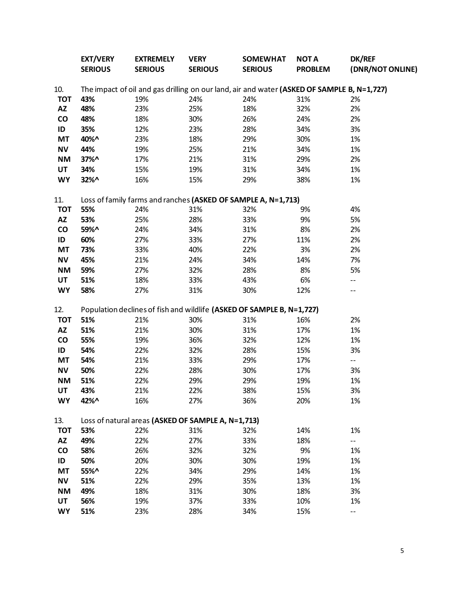|               | <b>EXT/VERY</b><br><b>SERIOUS</b> | <b>EXTREMELY</b><br><b>SERIOUS</b>                 | <b>VERY</b><br><b>SERIOUS</b> | <b>SOMEWHAT</b><br><b>SERIOUS</b>                                                          | <b>NOTA</b><br><b>PROBLEM</b> | <b>DK/REF</b><br>(DNR/NOT ONLINE) |
|---------------|-----------------------------------|----------------------------------------------------|-------------------------------|--------------------------------------------------------------------------------------------|-------------------------------|-----------------------------------|
| 10.           |                                   |                                                    |                               | The impact of oil and gas drilling on our land, air and water (ASKED OF SAMPLE B, N=1,727) |                               |                                   |
| <b>TOT</b>    | 43%                               | 19%                                                | 24%                           | 24%                                                                                        | 31%                           | 2%                                |
| <b>AZ</b>     | 48%                               | 23%                                                | 25%                           | 18%                                                                                        | 32%                           | 2%                                |
| $\mathsf{co}$ | 48%                               | 18%                                                | 30%                           | 26%                                                                                        | 24%                           | 2%                                |
| ID            | 35%                               | 12%                                                | 23%                           | 28%                                                                                        | 34%                           | 3%                                |
| <b>MT</b>     | 40%^                              | 23%                                                | 18%                           | 29%                                                                                        | 30%                           | 1%                                |
| <b>NV</b>     | 44%                               | 19%                                                | 25%                           | 21%                                                                                        | 34%                           | 1%                                |
| <b>NM</b>     | 37%^                              | 17%                                                | 21%                           | 31%                                                                                        | 29%                           | 2%                                |
| UT            | 34%                               | 15%                                                | 19%                           | 31%                                                                                        | 34%                           | 1%                                |
| <b>WY</b>     | 32%^                              | 16%                                                | 15%                           | 29%                                                                                        | 38%                           | 1%                                |
| 11.           |                                   |                                                    |                               | Loss of family farms and ranches (ASKED OF SAMPLE A, N=1,713)                              |                               |                                   |
| <b>TOT</b>    | 55%                               | 24%                                                | 31%                           | 32%                                                                                        | 9%                            | 4%                                |
| <b>AZ</b>     | 53%                               | 25%                                                | 28%                           | 33%                                                                                        | 9%                            | 5%                                |
| $\mathsf{co}$ | 59%^                              | 24%                                                | 34%                           | 31%                                                                                        | 8%                            | 2%                                |
| ID            | 60%                               | 27%                                                | 33%                           | 27%                                                                                        | 11%                           | 2%                                |
| <b>MT</b>     | 73%                               | 33%                                                | 40%                           | 22%                                                                                        | 3%                            | 2%                                |
| <b>NV</b>     | 45%                               | 21%                                                | 24%                           | 34%                                                                                        | 14%                           | 7%                                |
| <b>NM</b>     | 59%                               | 27%                                                | 32%                           | 28%                                                                                        | 8%                            | 5%                                |
| <b>UT</b>     | 51%                               | 18%                                                | 33%                           | 43%                                                                                        | 6%                            | --                                |
| <b>WY</b>     | 58%                               | 27%                                                | 31%                           | 30%                                                                                        | 12%                           | --                                |
| 12.           |                                   |                                                    |                               | Population declines of fish and wildlife (ASKED OF SAMPLE B, N=1,727)                      |                               |                                   |
| <b>TOT</b>    | 51%                               | 21%                                                | 30%                           | 31%                                                                                        | 16%                           | 2%                                |
| <b>AZ</b>     | 51%                               | 21%                                                | 30%                           | 31%                                                                                        | 17%                           | 1%                                |
| $\mathsf{co}$ | 55%                               | 19%                                                | 36%                           | 32%                                                                                        | 12%                           | 1%                                |
| ID            | 54%                               | 22%                                                | 32%                           | 28%                                                                                        | 15%                           | 3%                                |
| <b>MT</b>     | 54%                               | 21%                                                | 33%                           | 29%                                                                                        | 17%                           | $- -$                             |
| <b>NV</b>     | 50%                               | 22%                                                | 28%                           | 30%                                                                                        | 17%                           | 3%                                |
| <b>NM</b>     | 51%                               | 22%                                                | 29%                           | 29%                                                                                        | 19%                           | 1%                                |
| UT            | 43%                               | 21%                                                | 22%                           | 38%                                                                                        | 15%                           | 3%                                |
| <b>WY</b>     | 42%^                              | 16%                                                | 27%                           | 36%                                                                                        | 20%                           | 1%                                |
| 13.           |                                   | Loss of natural areas (ASKED OF SAMPLE A, N=1,713) |                               |                                                                                            |                               |                                   |
| <b>TOT</b>    | 53%                               | 22%                                                | 31%                           | 32%                                                                                        | 14%                           | 1%                                |
| AZ            | 49%                               | 22%                                                | 27%                           | 33%                                                                                        | 18%                           |                                   |
| CO            | 58%                               | 26%                                                | 32%                           | 32%                                                                                        | 9%                            | 1%                                |
| ID            | 50%                               | 20%                                                | 30%                           | 30%                                                                                        | 19%                           | 1%                                |
| <b>MT</b>     | 55%^                              | 22%                                                | 34%                           | 29%                                                                                        | 14%                           | 1%                                |
| <b>NV</b>     | 51%                               | 22%                                                | 29%                           | 35%                                                                                        | 13%                           | 1%                                |
| <b>NM</b>     | 49%                               | 18%                                                | 31%                           | 30%                                                                                        | 18%                           | 3%                                |
| UT            | 56%                               | 19%                                                | 37%                           | 33%                                                                                        | 10%                           | 1%                                |
| <b>WY</b>     | 51%                               | 23%                                                | 28%                           | 34%                                                                                        | 15%                           | --                                |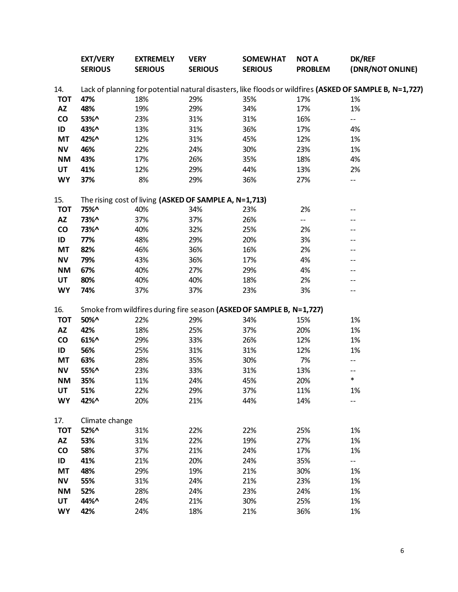|               | <b>EXT/VERY</b><br><b>SERIOUS</b> | <b>EXTREMELY</b><br><b>SERIOUS</b>                     | <b>VERY</b><br><b>SERIOUS</b> | <b>SOMEWHAT</b><br><b>SERIOUS</b>                                    | <b>NOTA</b><br><b>PROBLEM</b> | <b>DK/REF</b><br>(DNR/NOT ONLINE)                                                                       |
|---------------|-----------------------------------|--------------------------------------------------------|-------------------------------|----------------------------------------------------------------------|-------------------------------|---------------------------------------------------------------------------------------------------------|
| 14.           |                                   |                                                        |                               |                                                                      |                               | Lack of planning for potential natural disasters, like floods or wildfires (ASKED OF SAMPLE B, N=1,727) |
| <b>TOT</b>    | 47%                               | 18%                                                    | 29%                           | 35%                                                                  | 17%                           | 1%                                                                                                      |
| <b>AZ</b>     | 48%                               | 19%                                                    | 29%                           | 34%                                                                  | 17%                           | 1%                                                                                                      |
| $\mathsf{co}$ | 53%^                              | 23%                                                    | 31%                           | 31%                                                                  | 16%                           | --                                                                                                      |
| ID            | 43%^                              | 13%                                                    | 31%                           | 36%                                                                  | 17%                           | 4%                                                                                                      |
| <b>MT</b>     | 42%^                              | 12%                                                    | 31%                           | 45%                                                                  | 12%                           | 1%                                                                                                      |
| <b>NV</b>     | 46%                               | 22%                                                    | 24%                           | 30%                                                                  | 23%                           | 1%                                                                                                      |
| <b>NM</b>     | 43%                               | 17%                                                    | 26%                           | 35%                                                                  | 18%                           | 4%                                                                                                      |
| UT            | 41%                               | 12%                                                    | 29%                           | 44%                                                                  | 13%                           | 2%                                                                                                      |
| <b>WY</b>     | 37%                               | 8%                                                     | 29%                           | 36%                                                                  | 27%                           | --                                                                                                      |
| 15.           |                                   | The rising cost of living (ASKED OF SAMPLE A, N=1,713) |                               |                                                                      |                               |                                                                                                         |
| <b>TOT</b>    | 75%^                              | 40%                                                    | 34%                           | 23%                                                                  | 2%                            |                                                                                                         |
| <b>AZ</b>     | 73%^                              | 37%                                                    | 37%                           | 26%                                                                  | --                            |                                                                                                         |
| $\mathsf{co}$ | 73%^                              | 40%                                                    | 32%                           | 25%                                                                  | 2%                            |                                                                                                         |
| ID            | 77%                               | 48%                                                    | 29%                           | 20%                                                                  | 3%                            |                                                                                                         |
| <b>MT</b>     | 82%                               | 46%                                                    | 36%                           | 16%                                                                  | 2%                            |                                                                                                         |
| <b>NV</b>     | 79%                               | 43%                                                    | 36%                           | 17%                                                                  | 4%                            |                                                                                                         |
| <b>NM</b>     | 67%                               | 40%                                                    | 27%                           | 29%                                                                  | 4%                            |                                                                                                         |
| UT            | 80%                               | 40%                                                    | 40%                           | 18%                                                                  | 2%                            |                                                                                                         |
| <b>WY</b>     | 74%                               | 37%                                                    | 37%                           | 23%                                                                  | 3%                            |                                                                                                         |
| 16.           |                                   |                                                        |                               | Smoke from wildfires during fire season (ASKED OF SAMPLE B, N=1,727) |                               |                                                                                                         |
| <b>TOT</b>    | 50%^                              | 22%                                                    | 29%                           | 34%                                                                  | 15%                           | 1%                                                                                                      |
| <b>AZ</b>     | 42%                               | 18%                                                    | 25%                           | 37%                                                                  | 20%                           | 1%                                                                                                      |
| co            | $61\%$ ^                          | 29%                                                    | 33%                           | 26%                                                                  | 12%                           | 1%                                                                                                      |
| ID            | 56%                               | 25%                                                    | 31%                           | 31%                                                                  | 12%                           | 1%                                                                                                      |
| <b>MT</b>     | 63%                               | 28%                                                    | 35%                           | 30%                                                                  | 7%                            |                                                                                                         |
| <b>NV</b>     | 55%^                              | 23%                                                    | 33%                           | 31%                                                                  | 13%                           |                                                                                                         |
| <b>NM</b>     | 35%                               | 11%                                                    | 24%                           | 45%                                                                  | 20%                           | $\ast$                                                                                                  |
| UT            | 51%                               | 22%                                                    | 29%                           | 37%                                                                  | 11%                           | $1\%$                                                                                                   |
| <b>WY</b>     | 42%^                              | 20%                                                    | 21%                           | 44%                                                                  | 14%                           |                                                                                                         |
| 17.           | Climate change                    |                                                        |                               |                                                                      |                               |                                                                                                         |
| <b>TOT</b>    | 52%^                              | 31%                                                    | 22%                           | 22%                                                                  | 25%                           | 1%                                                                                                      |
| AZ            | 53%                               | 31%                                                    | 22%                           | 19%                                                                  | 27%                           | 1%                                                                                                      |
| $\mathsf{co}$ | 58%                               | 37%                                                    | 21%                           | 24%                                                                  | 17%                           | 1%                                                                                                      |
| ID            | 41%                               | 21%                                                    | 20%                           | 24%                                                                  | 35%                           | --                                                                                                      |
| <b>MT</b>     | 48%                               | 29%                                                    | 19%                           | 21%                                                                  | 30%                           | 1%                                                                                                      |
| <b>NV</b>     | 55%                               | 31%                                                    | 24%                           | 21%                                                                  | 23%                           | 1%                                                                                                      |
| <b>NM</b>     | 52%                               | 28%                                                    | 24%                           | 23%                                                                  | 24%                           | 1%                                                                                                      |
| UT            | 44%^                              | 24%                                                    | 21%                           | 30%                                                                  | 25%                           | 1%                                                                                                      |
| <b>WY</b>     | 42%                               | 24%                                                    | 18%                           | 21%                                                                  | 36%                           | 1%                                                                                                      |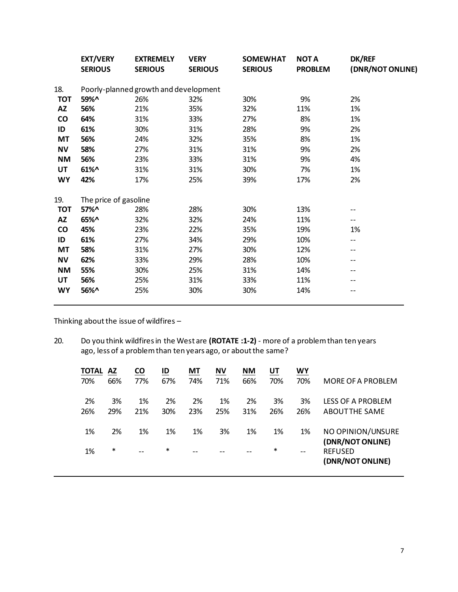|            | <b>EXT/VERY</b><br><b>SERIOUS</b> | <b>EXTREMELY</b><br><b>SERIOUS</b>    | <b>VERY</b><br><b>SERIOUS</b> | <b>SOMEWHAT</b><br><b>SERIOUS</b> | <b>NOT A</b><br><b>PROBLEM</b> | <b>DK/REF</b><br>(DNR/NOT ONLINE) |
|------------|-----------------------------------|---------------------------------------|-------------------------------|-----------------------------------|--------------------------------|-----------------------------------|
| 18.        |                                   | Poorly-planned growth and development |                               |                                   |                                |                                   |
| <b>TOT</b> | 59%^                              | 26%                                   | 32%                           | 30%                               | 9%                             | 2%                                |
| AZ         | 56%                               | 21%                                   | 35%                           | 32%                               | 11%                            | 1%                                |
| CO         | 64%                               | 31%                                   | 33%                           | 27%                               | 8%                             | 1%                                |
| ID         | 61%                               | 30%                                   | 31%                           | 28%                               | 9%                             | 2%                                |
| МT         | 56%                               | 24%                                   | 32%                           | 35%                               | 8%                             | 1%                                |
| <b>NV</b>  | 58%                               | 27%                                   | 31%                           | 31%                               | 9%                             | 2%                                |
| NΜ         | 56%                               | 23%                                   | 33%                           | 31%                               | 9%                             | 4%                                |
| UT         | $61\%$ ^                          | 31%                                   | 31%                           | 30%                               | 7%                             | 1%                                |
| <b>WY</b>  | 42%                               | 17%                                   | 25%                           | 39%                               | 17%                            | 2%                                |
| 19.        | The price of gasoline             |                                       |                               |                                   |                                |                                   |
| <b>TOT</b> | 57%^                              | 28%                                   | 28%                           | 30%                               | 13%                            |                                   |
| AZ         | 65%^                              | 32%                                   | 32%                           | 24%                               | 11%                            | --                                |
| CO         | 45%                               | 23%                                   | 22%                           | 35%                               | 19%                            | 1%                                |
| ID         | 61%                               | 27%                                   | 34%                           | 29%                               | 10%                            | --                                |
| MT         | 58%                               | 31%                                   | 27%                           | 30%                               | 12%                            | --                                |
| ΝV         | 62%                               | 33%                                   | 29%                           | 28%                               | 10%                            | --                                |
| <b>NM</b>  | 55%                               | 30%                                   | 25%                           | 31%                               | 14%                            | --                                |
| UT         | 56%                               | 25%                                   | 31%                           | 33%                               | 11%                            | --                                |
| <b>WY</b>  | 56%^                              | 25%                                   | 30%                           | 30%                               | 14%                            | --                                |

Thinking about the issue of wildfires  $-$ 

20. Do you think wildfires in the West are **(ROTATE :1-2)** - more of a problem than ten years ago, less of a problem than ten years ago, or about the same?

| TOTAL | <b>AZ</b> | <b>CO</b> | ID     | МT  | <b>NV</b> | <b>NM</b> | <u>UT</u> | <u>WY</u> |                                       |
|-------|-----------|-----------|--------|-----|-----------|-----------|-----------|-----------|---------------------------------------|
| 70%   | 66%       | 77%       | 67%    | 74% | 71%       | 66%       | 70%       | 70%       | MORE OF A PROBLEM                     |
| 2%    | 3%        | 1%        | 2%     | 2%  | 1%        | 2%        | 3%        | 3%        | LESS OF A PROBLEM                     |
| 26%   | 29%       | 21%       | 30%    | 23% | 25%       | 31%       | 26%       | 26%       | <b>ABOUTTHE SAME</b>                  |
| 1%    | 2%        | 1%        | 1%     | 1%  | 3%        | 1%        | 1%        | 1%        | NO OPINION/UNSURE<br>(DNR/NOT ONLINE) |
| 1%    | $\ast$    | $-$       | $\ast$ | --  |           | --        | $\ast$    | $- -$     | <b>REFUSED</b><br>(DNR/NOT ONLINE)    |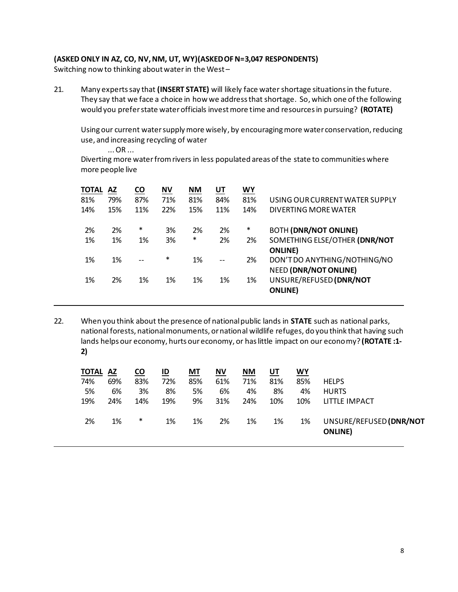# **(ASKED ONLY IN AZ, CO, NV, NM, UT, WY)(ASKED OF N=3,047 RESPONDENTS)**

Switching now to thinking about waterin the West –

21. Many experts say that **(INSERT STATE)** will likely face water shortage situations in the future. They say that we face a choice in how we address that shortage. So, which one of the following would you prefer state water officials invest more time and resources in pursuing? **(ROTATE)**

Usingour current water supply more wisely, by encouraging more water conservation, reducing use, and increasing recycling of water

... OR ...

Diverting more waterfrom rivers in less populated areas of the state to communities where more people live

| <b>TOTAL</b> | AZ  | <b>CO</b> | <b>NV</b> | NΜ     | UT  | WY     |                                |
|--------------|-----|-----------|-----------|--------|-----|--------|--------------------------------|
| 81%          | 79% | 87%       | 71%       | 81%    | 84% | 81%    | USING OUR CURRENT WATER SUPPLY |
| 14%          | 15% | 11%       | 22%       | 15%    | 11% | 14%    | DIVERTING MORE WATER           |
| 2%           | 2%  | $\ast$    | 3%        | 2%     | 2%  | $\ast$ | <b>BOTH (DNR/NOT ONLINE)</b>   |
| 1%           | 1%  | 1%        | 3%        | $\ast$ | 2%  | 2%     | SOMETHING ELSE/OTHER (DNR/NOT  |
|              |     |           |           |        |     |        | <b>ONLINE</b> )                |
| 1%           | 1%  | $-$       | $\ast$    | 1%     | $-$ | 2%     | DON'T DO ANYTHING/NOTHING/NO   |
|              |     |           |           |        |     |        | <b>NEED (DNR/NOT ONLINE)</b>   |
| 1%           | 2%  | 1%        | 1%        | 1%     | 1%  | 1%     | UNSURE/REFUSED (DNR/NOT        |
|              |     |           |           |        |     |        | <b>ONLINE</b> )                |
|              |     |           |           |        |     |        |                                |

22. When you think about the presence of national public lands in **STATE** such as national parks, national forests, national monuments, or national wildlife refuges, do you think that having such lands helps our economy, hurts our economy, or has little impact on our economy? **(ROTATE :1- 2)**

| <b>TOTAL AZ</b> |     | CO     | ID  | <b>MT</b> | NV  | <b>NM</b> | UT  | WY  |                                            |
|-----------------|-----|--------|-----|-----------|-----|-----------|-----|-----|--------------------------------------------|
| 74%             | 69% | 83%    | 72% | 85%       | 61% | 71%       | 81% | 85% | <b>HELPS</b>                               |
| 5%              | 6%  | 3%     | 8%  | 5%        | 6%  | 4%        | 8%  | 4%  | <b>HURTS</b>                               |
| 19%             | 24% | 14%    | 19% | 9%        | 31% | 24%       | 10% | 10% | LITTLE IMPACT                              |
| 2%              | 1%  | $\ast$ | 1%  | 1%        | 2%  | 1%        | 1%  | 1%  | UNSURE/REFUSED (DNR/NOT<br><b>ONLINE</b> ) |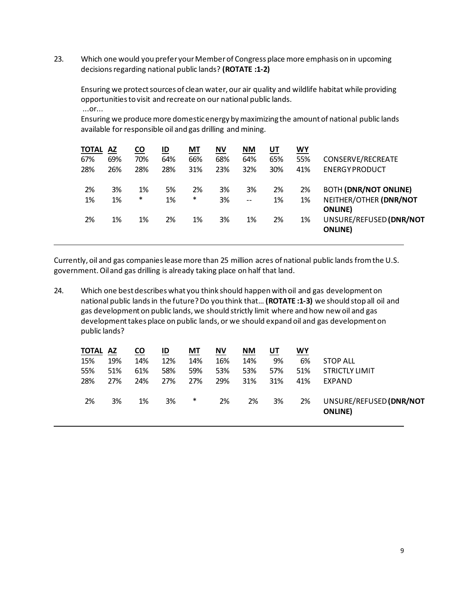23. Which one would you prefer your Member of Congress place more emphasis on in upcoming decisionsregarding national public lands? **(ROTATE :1-2)**

Ensuring we protect sources of clean water, our air quality and wildlife habitat while providing opportunities to visit and recreate on our national public lands. ...or...

Ensuring we produce more domestic energy by maximizing the amount of national public lands available for responsible oil and gas drilling and mining.

| <b>TOTAL</b> | AZ  | <u>co</u> | ID  | МT     | $\underline{\mathsf{N}}\mathsf{V}$ | $M$ | <u>UT</u> | <u>WY</u> |                                            |
|--------------|-----|-----------|-----|--------|------------------------------------|-----|-----------|-----------|--------------------------------------------|
| 67%          | 69% | 70%       | 64% | 66%    | 68%                                | 64% | 65%       | 55%       | CONSERVE/RECREATE                          |
| 28%          | 26% | 28%       | 28% | 31%    | 23%                                | 32% | 30%       | 41%       | <b>ENERGY PRODUCT</b>                      |
| 2%           | 3%  | 1%        | 5%  | 2%     | 3%                                 | 3%  | 2%        | 2%        | <b>BOTH (DNR/NOT ONLINE)</b>               |
| 1%           | 1%  | $\ast$    | 1%  | $\ast$ | 3%                                 | $-$ | 1%        | 1%        | NEITHER/OTHER (DNR/NOT<br><b>ONLINE</b> )  |
| 2%           | 1%  | 1%        | 2%  | 1%     | 3%                                 | 1%  | 2%        | 1%        | UNSURE/REFUSED (DNR/NOT<br><b>ONLINE</b> ) |

Currently, oil and gas companies lease more than 25 million acres of national public lands from the U.S. government. Oil and gas drilling is already taking place on half that land.

24. Which one best describes what you think should happen with oil and gas development on national public lands in the future? Do you think that… **(ROTATE :1-3)** we should stop all oil and gas development on public lands, we should strictly limit where and how new oil and gas development takes place on public lands, or we should expand oil and gas development on public lands?

| <b>TOTAL AZ</b> |     | $\underline{\mathsf{co}}$ | ID  | MT  | <b>NV</b> | <b>NM</b> | <u>UT</u> | <u>WY</u> |                                            |
|-----------------|-----|---------------------------|-----|-----|-----------|-----------|-----------|-----------|--------------------------------------------|
| 15%             | 19% | 14%                       | 12% | 14% | 16%       | 14%       | 9%        | 6%        | <b>STOP ALL</b>                            |
| 55%             | 51% | 61%                       | 58% | 59% | 53%       | 53%       | 57%       | 51%       | <b>STRICTLY LIMIT</b>                      |
| 28%             | 27% | 24%                       | 27% | 27% | 29%       | 31%       | 31%       | 41%       | EXPAND                                     |
| 2%              | 3%  | 1%                        | 3%  | *   | 2%        | 2%        | 3%        | 2%        | UNSURE/REFUSED (DNR/NOT<br><b>ONLINE</b> ) |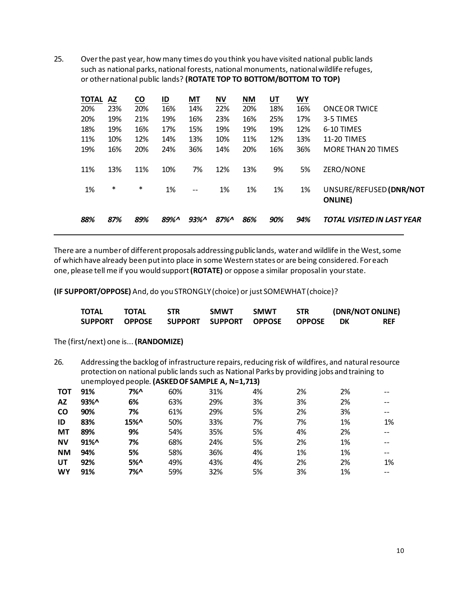25. Over the past year, how many times do you think you have visited national public lands such as national parks, national forests, national monuments, national wildlife refuges, or other national public lands? **(ROTATE TOP TO BOTTOM/BOTTOM TO TOP)**

| <b>TOTAL</b> | AZ  | <b>CO</b> | ID   | <b>MT</b>         | <b>NV</b> | <b>NM</b> | UT  | <b>WY</b> |                                   |
|--------------|-----|-----------|------|-------------------|-----------|-----------|-----|-----------|-----------------------------------|
| 20%          | 23% | 20%       | 16%  | 14%               | 22%       | 20%       | 18% | 16%       | <b>ONCE OR TWICE</b>              |
| 20%          | 19% | 21%       | 19%  | 16%               | 23%       | 16%       | 25% | 17%       | 3-5 TIMES                         |
| 18%          | 19% | 16%       | 17%  | 15%               | 19%       | 19%       | 19% | 12%       | 6-10 TIMES                        |
| 11%          | 10% | 12%       | 14%  | 13%               | 10%       | 11%       | 12% | 13%       | <b>11-20 TIMES</b>                |
| 19%          | 16% | 20%       | 24%  | 36%               | 14%       | 20%       | 16% | 36%       | <b>MORE THAN 20 TIMES</b>         |
|              |     |           |      |                   |           |           |     |           |                                   |
| 11%          | 13% | 11%       | 10%  | 7%                | 12%       | 13%       | 9%  | 5%        | ZERO/NONE                         |
|              |     |           |      |                   |           |           |     |           |                                   |
| 1%           | *   | $\ast$    | 1%   | $\qquad \qquad -$ | 1%        | 1%        | 1%  | 1%        | UNSURE/REFUSED (DNR/NOT           |
|              |     |           |      |                   |           |           |     |           | <b>ONLINE</b>                     |
|              |     |           |      |                   |           |           |     |           |                                   |
| 88%          | 87% | 89%       | 89%^ | $93\%$            | 87%       | 86%       | 90% | 94%       | <b>TOTAL VISITED IN LAST YEAR</b> |
|              |     |           |      |                   |           |           |     |           |                                   |

There are a number of different proposals addressing public lands, water and wildlife in the West, some of which have already been putinto place in some Western states or are being considered. For each one, please tell me if you would support **(ROTATE)** or oppose a similar proposal in your state.

**(IF SUPPORT/OPPOSE)** And, do you STRONGLY (choice) or just SOMEWHAT (choice)?

| <b>TOTAL</b> | <b>TOTAL</b>   | <b>STR</b>                    | <b>SMWT</b> | <b>SMWT</b> | <b>STR</b> |      | (DNR/NOT ONLINE) |
|--------------|----------------|-------------------------------|-------------|-------------|------------|------|------------------|
|              | SUPPORT OPPOSE | SUPPORT SUPPORT OPPOSE OPPOSE |             |             |            | - DK | <b>REF</b>       |

The (first/next) one is... **(RANDOMIZE)**

26. Addressing the backlog of infrastructure repairs, reducing risk of wildfires, and natural resource protection on national public lands such as National Parks by providing jobs and training to unemployed people. **(ASKED OF SAMPLE A, N=1,713)**

| 91%    | 7%^ | 60% | 31% | 4% | 2% | 2% | $- -$ |
|--------|-----|-----|-----|----|----|----|-------|
| 93%^   | 6%  | 63% | 29% | 3% | 3% | 2% | --    |
| 90%    | 7%  | 61% | 29% | 5% | 2% | 3% | $- -$ |
| 83%    | 15% | 50% | 33% | 7% | 7% | 1% | 1%    |
| 89%    | 9%  | 54% | 35% | 5% | 4% | 2% | $- -$ |
| $91\%$ | 7%  | 68% | 24% | 5% | 2% | 1% | --    |
| 94%    | 5%  | 58% | 36% | 4% | 1% | 1% | --    |
| 92%    | 5%  | 49% | 43% | 4% | 2% | 2% | 1%    |
| 91%    | 7%^ | 59% | 32% | 5% | 3% | 1% | $- -$ |
|        |     |     |     |    |    |    |       |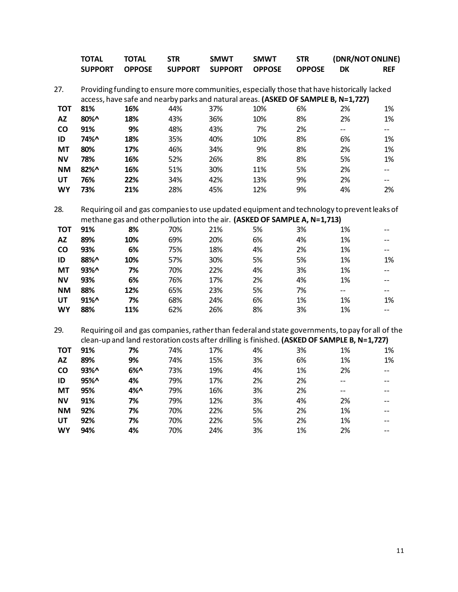|            | <b>TOTAL</b>   | <b>TOTAL</b>  | <b>STR</b>                                                                                        | <b>SMWT</b>    | <b>SMWT</b>   | <b>STR</b>    | (DNR/NOT ONLINE) |                          |
|------------|----------------|---------------|---------------------------------------------------------------------------------------------------|----------------|---------------|---------------|------------------|--------------------------|
|            | <b>SUPPORT</b> | <b>OPPOSE</b> | <b>SUPPORT</b>                                                                                    | <b>SUPPORT</b> | <b>OPPOSE</b> | <b>OPPOSE</b> | <b>DK</b>        | <b>REF</b>               |
|            |                |               |                                                                                                   |                |               |               |                  |                          |
| 27.        |                |               | Providing funding to ensure more communities, especially those that have historically lacked      |                |               |               |                  |                          |
|            |                |               | access, have safe and nearby parks and natural areas. (ASKED OF SAMPLE B, N=1,727)                |                |               |               |                  |                          |
| <b>TOT</b> | 81%            | 16%           | 44%                                                                                               | 37%            | 10%           | 6%            | 2%               | 1%                       |
| <b>AZ</b>  | 80%^           | 18%           | 43%                                                                                               | 36%            | 10%           | 8%            | 2%               | 1%                       |
| co         | 91%            | 9%            | 48%                                                                                               | 43%            | 7%            | 2%            | $-$              | $\overline{\phantom{a}}$ |
| ID         | 74%^           | 18%           | 35%                                                                                               | 40%            | 10%           | 8%            | 6%               | 1%                       |
| <b>MT</b>  | 80%            | 17%           | 46%                                                                                               | 34%            | 9%            | 8%            | 2%               | 1%                       |
| <b>NV</b>  | 78%            | 16%           | 52%                                                                                               | 26%            | 8%            | 8%            | 5%               | 1%                       |
| <b>NM</b>  | 82%^           | 16%           | 51%                                                                                               | 30%            | 11%           | 5%            | 2%               | $-$                      |
| <b>UT</b>  | 76%            | 22%           | 34%                                                                                               | 42%            | 13%           | 9%            | 2%               | $\overline{\phantom{a}}$ |
| <b>WY</b>  | 73%            | 21%           | 28%                                                                                               | 45%            | 12%           | 9%            | 4%               | 2%                       |
| 28.        |                |               | Requiring oil and gas companies to use updated equipment and technology to prevent leaks of       |                |               |               |                  |                          |
|            |                |               | methane gas and other pollution into the air. (ASKED OF SAMPLE A, N=1,713)                        |                |               |               |                  |                          |
| <b>TOT</b> | 91%            | 8%            | 70%                                                                                               | 21%            | 5%            | 3%            | 1%               | $\overline{\phantom{a}}$ |
| <b>AZ</b>  | 89%            | 10%           | 69%                                                                                               | 20%            | 6%            | 4%            | 1%               | $- -$                    |
| co         | 93%            | 6%            | 75%                                                                                               | 18%            | 4%            | 2%            | 1%               | $\overline{\phantom{a}}$ |
| ID         | 88%^           | 10%           | 57%                                                                                               | 30%            | 5%            | 5%            | 1%               | 1%                       |
| <b>MT</b>  | 93%^           | 7%            | 70%                                                                                               | 22%            | 4%            | 3%            | 1%               | $-$                      |
| <b>NV</b>  | 93%            | 6%            | 76%                                                                                               | 17%            | 2%            | 4%            | 1%               | $\overline{\phantom{a}}$ |
| <b>NM</b>  | 88%            | 12%           | 65%                                                                                               | 23%            | 5%            | 7%            | $-$              | $\overline{\phantom{a}}$ |
| UT         | 91%^           | 7%            | 68%                                                                                               | 24%            | 6%            | 1%            | 1%               | 1%                       |
| <b>WY</b>  | 88%            | 11%           | 62%                                                                                               | 26%            | 8%            | 3%            | 1%               | $-$                      |
|            |                |               |                                                                                                   |                |               |               |                  |                          |
| 29.        |                |               | Requiring oil and gas companies, rather than federal and state governments, to pay for all of the |                |               |               |                  |                          |
|            |                |               | clean-up and land restoration costs after drilling is finished. (ASKED OF SAMPLE B, N=1,727)      |                |               |               |                  |                          |
| <b>TOT</b> | 91%            | 7%            | 74%                                                                                               | 17%            | 4%            | 3%            | 1%               | 1%                       |
| <b>AZ</b>  | 89%            | 9%            | 74%                                                                                               | 15%            | 3%            | 6%            | 1%               | 1%                       |
| co         | 93%^           | 6%            | 73%                                                                                               | 19%            | 4%            | 1%            | 2%               | $- -$                    |
| ID         | 95%^           | 4%            | 79%                                                                                               | 17%            | 2%            | 2%            | $-$              | $\overline{\phantom{a}}$ |
| <b>MT</b>  | 95%            | 4%^           | 79%                                                                                               | 16%            | 3%            | 2%            | $-$              | $-$                      |
| <b>NV</b>  | 91%            | 7%            | 79%                                                                                               | 12%            | 3%            | 4%            | 2%               | $-$                      |
| <b>NM</b>  | 92%            | 7%            | 70%                                                                                               | 22%            | 5%            | 2%            | 1%               | $-$                      |
| UT         | 92%            | 7%            | 70%                                                                                               | 22%            | 5%            | 2%            | 1%               | $-$                      |
| <b>WY</b>  | 94%            | 4%            | 70%                                                                                               | 24%            | 3%            | 1%            | 2%               | $\overline{\phantom{a}}$ |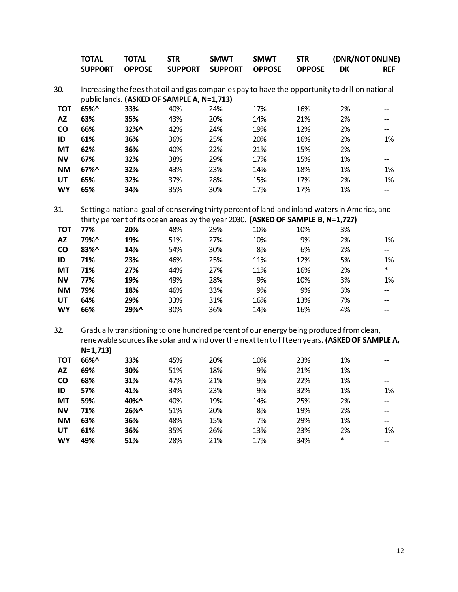|                        | <b>TOTAL</b>   | <b>TOTAL</b>  | <b>STR</b>                                                                                      | <b>SMWT</b>    | <b>SMWT</b>   | <b>STR</b>    | (DNR/NOT ONLINE) |                          |  |
|------------------------|----------------|---------------|-------------------------------------------------------------------------------------------------|----------------|---------------|---------------|------------------|--------------------------|--|
|                        | <b>SUPPORT</b> | <b>OPPOSE</b> | <b>SUPPORT</b>                                                                                  | <b>SUPPORT</b> | <b>OPPOSE</b> | <b>OPPOSE</b> | DK               | <b>REF</b>               |  |
|                        |                |               |                                                                                                 |                |               |               |                  |                          |  |
| 30.                    |                |               | Increasing the fees that oil and gas companies pay to have the opportunity to drill on national |                |               |               |                  |                          |  |
|                        |                |               | public lands. (ASKED OF SAMPLE A, N=1,713)                                                      |                |               |               |                  |                          |  |
| <b>TOT</b>             | 65%^           | 33%           | 40%                                                                                             | 24%            | 17%           | 16%           | 2%               |                          |  |
| <b>AZ</b>              | 63%            | 35%           | 43%                                                                                             | 20%            | 14%           | 21%           | 2%               | --                       |  |
| CO                     | 66%            | 32%^          | 42%                                                                                             | 24%            | 19%           | 12%           | 2%               | --                       |  |
| ID                     | 61%            | 36%           | 36%                                                                                             | 25%            | 20%           | 16%           | 2%               | 1%                       |  |
| MT                     | 62%            | 36%           | 40%                                                                                             | 22%            | 21%           | 15%           | 2%               | $- -$                    |  |
| <b>NV</b>              | 67%            | 32%           | 38%                                                                                             | 29%            | 17%           | 15%           | 1%               | $\overline{\phantom{a}}$ |  |
| <b>NM</b>              | $67%$ ^        | 32%           | 43%                                                                                             | 23%            | 14%           | 18%           | 1%               | 1%                       |  |
| UT                     | 65%            | 32%           | 37%                                                                                             | 28%            | 15%           | 17%           | 2%               | 1%                       |  |
| <b>WY</b>              | 65%            | 34%           | 35%                                                                                             | 30%            | 17%           | 17%           | 1%               | --                       |  |
| 31.                    |                |               | Setting a national goal of conserving thirty percent of land and inland waters in America, and  |                |               |               |                  |                          |  |
|                        |                |               | thirty percent of its ocean areas by the year 2030. (ASKED OF SAMPLE B, N=1,727)                |                |               |               |                  |                          |  |
| <b>TOT</b>             | 77%            | 20%           | 48%                                                                                             | 29%            | 10%           | 10%           | 3%               | $\overline{\phantom{m}}$ |  |
| <b>AZ</b>              | 79%^           | 19%           | 51%                                                                                             | 27%            | 10%           | 9%            | 2%               | 1%                       |  |
| CO                     | 83%^           | 14%           | 54%                                                                                             | 30%            | 8%            | 6%            | 2%               | $- -$                    |  |
| ID                     | 71%            | 23%           | 46%                                                                                             | 25%            | 11%           | 12%           | 5%               | 1%                       |  |
| <b>MT</b>              | 71%            | 27%           | 44%                                                                                             | 27%            | 11%           | 16%           | 2%               | $\ast$                   |  |
| <b>NV</b>              | 77%            | 19%           | 49%                                                                                             | 28%            | 9%            | 10%           | 3%               | 1%                       |  |
| <b>NM</b>              | 79%            | 18%           | 46%                                                                                             | 33%            | 9%            | 9%            | 3%               | --                       |  |
| UT                     | 64%            | 29%           | 33%                                                                                             | 31%            | 16%           | 13%           | 7%               | --                       |  |
| <b>WY</b>              | 66%            | 29%^          | 30%                                                                                             | 36%            | 14%           | 16%           | 4%               | $-$                      |  |
| 32.                    |                |               | Gradually transitioning to one hundred percent of our energy being produced from clean,         |                |               |               |                  |                          |  |
|                        |                |               | renewable sources like solar and wind over the next ten to fifteen years. (ASKED OF SAMPLE A,   |                |               |               |                  |                          |  |
|                        | $N=1,713$      |               |                                                                                                 |                |               |               |                  |                          |  |
| <b>TOT</b>             | 66%^           | 33%           | 45%                                                                                             | 20%            | 10%           | 23%           | 1%               |                          |  |
| <b>AZ</b>              | 69%            | 30%           | 51%                                                                                             | 18%            | 9%            | 21%           | 1%               | --                       |  |
| CO                     | 68%            | 31%           | 47%                                                                                             | 21%            | 9%            | 22%           | 1%               | --                       |  |
|                        | 57%            | 41%           | 34%                                                                                             | 23%            | 9%            | 32%           | 1%               |                          |  |
| ID                     |                |               |                                                                                                 |                |               |               |                  | 1%                       |  |
| <b>MT</b>              | 59%            | 40%^          | 40%                                                                                             | 19%            | 14%           | 25%           | 2%               |                          |  |
| <b>NV</b><br><b>NM</b> | 71%<br>63%     | 26%^          | 51%<br>48%                                                                                      | 20%            | 8%            | 19%<br>29%    | 2%<br>1%         |                          |  |
|                        |                | 36%           |                                                                                                 | 15%            | 7%            |               |                  |                          |  |
| UT                     | 61%            | 36%           | 35%                                                                                             | 26%            | 13%           | 23%           | 2%<br>$\ast$     | 1%                       |  |
| <b>WY</b>              | 49%            | 51%           | 28%                                                                                             | 21%            | 17%           | 34%           |                  | --                       |  |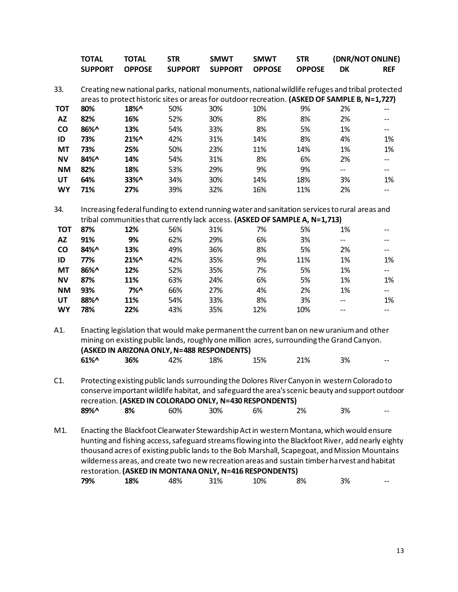|                        | <b>TOTAL</b><br><b>SUPPORT</b> | <b>TOTAL</b><br><b>OPPOSE</b> | <b>STR</b><br><b>SUPPORT</b> | <b>SMWT</b><br><b>SUPPORT</b>                                                                                                                                                                                                                                                                                                                                                                                                                             | <b>SMWT</b><br><b>OPPOSE</b> | <b>STR</b><br><b>OPPOSE</b> | (DNR/NOT ONLINE)<br><b>DK</b> | <b>REF</b>               |
|------------------------|--------------------------------|-------------------------------|------------------------------|-----------------------------------------------------------------------------------------------------------------------------------------------------------------------------------------------------------------------------------------------------------------------------------------------------------------------------------------------------------------------------------------------------------------------------------------------------------|------------------------------|-----------------------------|-------------------------------|--------------------------|
| 33.                    |                                |                               |                              | Creating new national parks, national monuments, national wildlife refuges and tribal protected                                                                                                                                                                                                                                                                                                                                                           |                              |                             |                               |                          |
|                        |                                |                               |                              | areas to protect historic sites or areas for outdoor recreation. (ASKED OF SAMPLE B, N=1,727)                                                                                                                                                                                                                                                                                                                                                             |                              |                             |                               |                          |
| <b>TOT</b>             | 80%                            | 18%^                          | 50%                          | 30%                                                                                                                                                                                                                                                                                                                                                                                                                                                       | 10%                          | 9%                          | 2%                            |                          |
| $\mathsf{A}\mathsf{Z}$ | 82%                            | 16%                           | 52%                          | 30%                                                                                                                                                                                                                                                                                                                                                                                                                                                       | 8%                           | 8%                          | 2%                            | --                       |
| CO                     | 86%^                           | 13%                           | 54%                          | 33%                                                                                                                                                                                                                                                                                                                                                                                                                                                       | 8%                           | 5%                          | 1%                            | --                       |
| ID                     | 73%                            | 21%^                          | 42%                          | 31%                                                                                                                                                                                                                                                                                                                                                                                                                                                       | 14%                          | 8%                          | 4%                            | 1%                       |
| MT                     | 73%                            | 25%                           | 50%                          | 23%                                                                                                                                                                                                                                                                                                                                                                                                                                                       | 11%                          | 14%                         | 1%                            | 1%                       |
| <b>NV</b>              | 84%^                           | 14%                           | 54%                          | 31%                                                                                                                                                                                                                                                                                                                                                                                                                                                       | 8%                           | 6%                          | 2%                            | --                       |
| <b>NM</b>              | 82%                            | 18%                           | 53%                          | 29%                                                                                                                                                                                                                                                                                                                                                                                                                                                       | 9%                           | 9%                          | $- -$                         | $- -$                    |
| <b>UT</b>              | 64%                            | 33%^                          | 34%                          | 30%                                                                                                                                                                                                                                                                                                                                                                                                                                                       | 14%                          | 18%                         | 3%                            | 1%                       |
| <b>WY</b>              | 71%                            | 27%                           | 39%                          | 32%                                                                                                                                                                                                                                                                                                                                                                                                                                                       | 16%                          | 11%                         | 2%                            | $-$                      |
| 34.                    |                                |                               |                              | Increasing federal funding to extend running water and sanitation services to rural areas and                                                                                                                                                                                                                                                                                                                                                             |                              |                             |                               |                          |
|                        |                                |                               |                              | tribal communities that currently lack access. (ASKED OF SAMPLE A, N=1,713)                                                                                                                                                                                                                                                                                                                                                                               |                              |                             |                               |                          |
| <b>TOT</b>             | 87%                            | 12%                           | 56%                          | 31%                                                                                                                                                                                                                                                                                                                                                                                                                                                       | 7%                           | 5%                          | 1%                            | --                       |
| <b>AZ</b>              | 91%                            | 9%                            | 62%                          | 29%                                                                                                                                                                                                                                                                                                                                                                                                                                                       | 6%                           | 3%                          | $- -$                         | --                       |
| CO                     | 84%^                           | 13%                           | 49%                          | 36%                                                                                                                                                                                                                                                                                                                                                                                                                                                       | 8%                           | 5%                          | 2%                            | $- -$                    |
| ID                     | 77%                            | 21%^                          | 42%                          | 35%                                                                                                                                                                                                                                                                                                                                                                                                                                                       | 9%                           | 11%                         | 1%                            | 1%                       |
| <b>MT</b>              | 86%^                           | 12%                           | 52%                          | 35%                                                                                                                                                                                                                                                                                                                                                                                                                                                       | 7%                           | 5%                          | 1%                            | --                       |
| <b>NV</b>              | 87%                            | 11%                           | 63%                          | 24%                                                                                                                                                                                                                                                                                                                                                                                                                                                       | 6%                           | 5%                          | 1%                            | 1%                       |
| <b>NM</b>              | 93%                            | 7%                            | 66%                          | 27%                                                                                                                                                                                                                                                                                                                                                                                                                                                       | 4%                           | 2%                          | 1%                            | --                       |
| UT                     | 88%^                           | 11%                           | 54%                          | 33%                                                                                                                                                                                                                                                                                                                                                                                                                                                       | 8%                           | 3%                          | $\overline{\phantom{a}}$      | 1%                       |
| <b>WY</b>              | 78%                            | 22%                           | 43%                          | 35%                                                                                                                                                                                                                                                                                                                                                                                                                                                       | 12%                          | 10%                         | --                            | $\overline{\phantom{a}}$ |
| A1.                    |                                |                               |                              | Enacting legislation that would make permanent the current ban on new uranium and other<br>mining on existing public lands, roughly one million acres, surrounding the Grand Canyon.<br>(ASKED IN ARIZONA ONLY, N=488 RESPONDENTS)                                                                                                                                                                                                                        |                              |                             |                               |                          |
|                        | 61%^                           | 36%                           | 42%                          | 18%                                                                                                                                                                                                                                                                                                                                                                                                                                                       | 15%                          | 21%                         | 3%                            |                          |
| $C1$ .                 | 89%^                           | 8%                            | 60%                          | Protecting existing public lands surrounding the Dolores River Canyon in western Colorado to<br>conserve important wildlife habitat, and safeguard the area's scenic beauty and support outdoor<br>recreation. (ASKED IN COLORADO ONLY, N=430 RESPONDENTS)<br>30%                                                                                                                                                                                         | 6%                           | 2%                          | 3%                            |                          |
| M1.                    |                                |                               |                              | Enacting the Blackfoot Clearwater Stewardship Act in western Montana, which would ensure<br>hunting and fishing access, safeguard streams flowing into the Blackfoot River, add nearly eighty<br>thousand acres of existing public lands to the Bob Marshall, Scapegoat, and Mission Mountains<br>wilderness areas, and create two new recreation areas and sustain timber harvest and habitat<br>restoration. (ASKED IN MONTANA ONLY, N=416 RESPONDENTS) |                              |                             |                               |                          |
|                        | 79%                            | 18%                           | 48%                          | 31%                                                                                                                                                                                                                                                                                                                                                                                                                                                       | 10%                          | 8%                          | 3%                            |                          |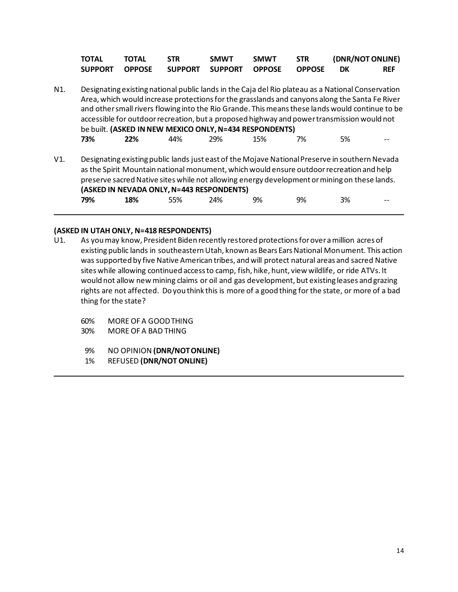|     | <b>TOTAL</b>   | TOTAL         | <b>STR</b>     | <b>SMWT</b>                                                    | <b>SMWT</b>   | <b>STR</b>    | (DNR/NOT ONLINE)                                                                                                                                                                                                                                                                                                                                                                                           |            |
|-----|----------------|---------------|----------------|----------------------------------------------------------------|---------------|---------------|------------------------------------------------------------------------------------------------------------------------------------------------------------------------------------------------------------------------------------------------------------------------------------------------------------------------------------------------------------------------------------------------------------|------------|
|     | <b>SUPPORT</b> | <b>OPPOSE</b> | <b>SUPPORT</b> | <b>SUPPORT</b>                                                 | <b>OPPOSE</b> | <b>OPPOSE</b> | DK                                                                                                                                                                                                                                                                                                                                                                                                         | <b>REF</b> |
| N1. | 73%            | 22%           | 44%            | be built. (ASKED IN NEW MEXICO ONLY, N=434 RESPONDENTS)<br>29% | 15%           | 7%            | Designating existing national public lands in the Caja del Rio plateau as a National Conservation<br>Area, which would increase protections for the grasslands and canyons along the Santa Fe River<br>and other small rivers flowing into the Rio Grande. This means these lands would continue to be<br>accessible for outdoor recreation, but a proposed highway and power transmission would not<br>5% |            |
| V1. | 79%            | 18%           | 55%            | (ASKED IN NEVADA ONLY, N=443 RESPONDENTS)<br>24%               | 9%            | 9%            | Designating existing public lands just east of the Mojave National Preserve in southern Nevada<br>as the Spirit Mountain national monument, which would ensure outdoor recreation and help<br>preserve sacred Native sites while not allowing energy development or mining on these lands.<br>3%                                                                                                           |            |

# **(ASKED IN UTAH ONLY, N=418 RESPONDENTS)**

- As you may know, President Biden recently restored protections for over a million acres of existing public lands in southeastern Utah, known as Bears Ears National Monument. This action was supported by five Native American tribes, and will protect natural areas and sacred Native sites while allowing continued access to camp, fish, hike, hunt, view wildlife, or ride ATVs. It would not allow new mining claims or oil and gas development, but existing leases and grazing rights are not affected. Do you think this is more of a good thing for the state, or more of a bad thing for the state?
	- 60% MORE OF A GOOD THING
	- 30% MORE OF A BAD THING
	- 9% NO OPINION **(DNR/NOT ONLINE)**
	- 1% REFUSED **(DNR/NOT ONLINE)**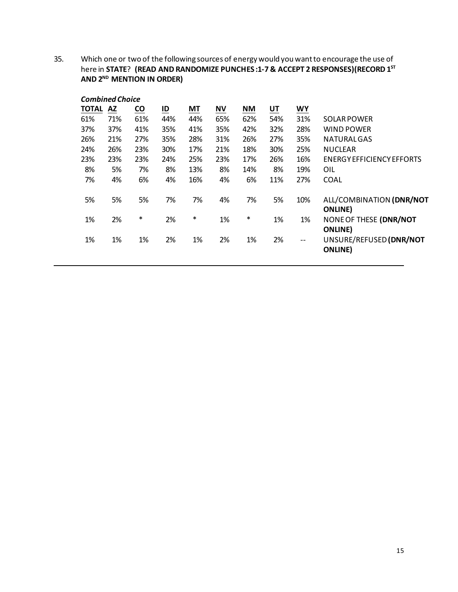35. Which one or two of the following sources of energy would you want to encourage the use of here in **STATE**? **(READ AND RANDOMIZE PUNCHES :1-7 & ACCEPT 2 RESPONSES)(RECORD 1ST AND 2ND MENTION IN ORDER)**

| <b>Combined Choice</b> |           |                           |                           |     |           |           |           |       |                                                               |  |
|------------------------|-----------|---------------------------|---------------------------|-----|-----------|-----------|-----------|-------|---------------------------------------------------------------|--|
| <b>TOTAL</b>           | <b>AZ</b> | $\underline{\mathsf{co}}$ | $\underline{\mathsf{ID}}$ | МT  | <b>NV</b> | <b>NM</b> | <u>UT</u> | WY    |                                                               |  |
| 61%                    | 71%       | 61%                       | 44%                       | 44% | 65%       | 62%       | 54%       | 31%   | SOLAR POWER                                                   |  |
| 37%                    | 37%       | 41%                       | 35%                       | 41% | 35%       | 42%       | 32%       | 28%   | WIND POWER                                                    |  |
| 26%                    | 21%       | 27%                       | 35%                       | 28% | 31%       | 26%       | 27%       | 35%   | NATURALGAS                                                    |  |
| 24%                    | 26%       | 23%                       | 30%                       | 17% | 21%       | 18%       | 30%       | 25%   | <b>NUCLEAR</b>                                                |  |
| 23%                    | 23%       | 23%                       | 24%                       | 25% | 23%       | 17%       | 26%       | 16%   | ENERGY EFFICIENCY EFFORTS                                     |  |
| 8%                     | 5%        | 7%                        | 8%                        | 13% | 8%        | 14%       | 8%        | 19%   | OIL                                                           |  |
| 7%                     | 4%        | 6%                        | 4%                        | 16% | 4%        | 6%        | 11%       | 27%   | <b>COAL</b>                                                   |  |
| 5%                     | 5%        | 5%                        | 7%                        | 7%  | 4%        | 7%        | 5%        | 10%   | ALL/COMBINATION (DNR/NOT<br><b>ONLINE</b> )                   |  |
| 1%                     | 2%        | $\ast$                    | 2%                        | *   | 1%        | ∗         | 1%        | 1%    | NONE OF THESE (DNR/NOT                                        |  |
| 1%                     | 1%        | 1%                        | 2%                        | 1%  | 2%        | 1%        | 2%        | $- -$ | <b>ONLINE</b> )<br>UNSURE/REFUSED (DNR/NOT<br><b>ONLINE</b> ) |  |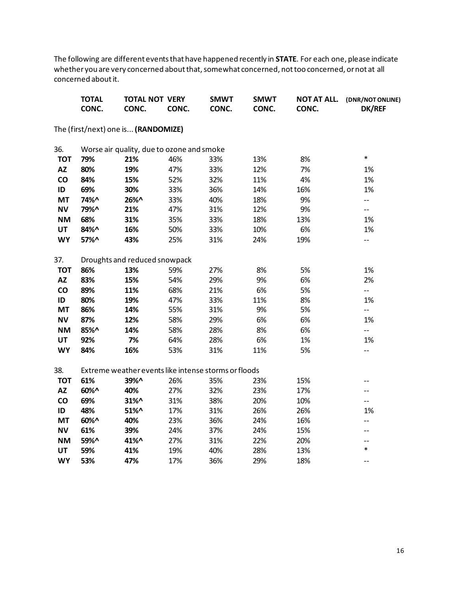The following are different events that have happened recently in **STATE**. For each one, please indicate whether you are very concerned about that, somewhat concerned, not too concerned, or not at all concerned about it.

|               | <b>TOTAL</b><br>CONC. | <b>TOTAL NOT VERY</b><br>CONC.      | CONC.                                     | <b>SMWT</b><br>CONC.                                 | <b>SMWT</b><br>CONC. | <b>NOT AT ALL.</b><br>CONC. | (DNR/NOT ONLINE)<br><b>DK/REF</b> |
|---------------|-----------------------|-------------------------------------|-------------------------------------------|------------------------------------------------------|----------------------|-----------------------------|-----------------------------------|
|               |                       | The (first/next) one is (RANDOMIZE) |                                           |                                                      |                      |                             |                                   |
| 36.           |                       |                                     | Worse air quality, due to ozone and smoke |                                                      |                      |                             |                                   |
| <b>TOT</b>    | 79%                   | 21%                                 | 46%                                       | 33%                                                  | 13%                  | 8%                          | $\ast$                            |
| <b>AZ</b>     | 80%                   | 19%                                 | 47%                                       | 33%                                                  | 12%                  | 7%                          | 1%                                |
| $\mathsf{co}$ | 84%                   | 15%                                 | 52%                                       | 32%                                                  | 11%                  | 4%                          | 1%                                |
| ID            | 69%                   | 30%                                 | 33%                                       | 36%                                                  | 14%                  | 16%                         | 1%                                |
| <b>MT</b>     | 74%^                  | 26%^                                | 33%                                       | 40%                                                  | 18%                  | 9%                          | $-$                               |
| <b>NV</b>     | 79%^                  | 21%                                 | 47%                                       | 31%                                                  | 12%                  | 9%                          | $- -$                             |
| <b>NM</b>     | 68%                   | 31%                                 | 35%                                       | 33%                                                  | 18%                  | 13%                         | 1%                                |
| <b>UT</b>     | 84%^                  | 16%                                 | 50%                                       | 33%                                                  | 10%                  | 6%                          | 1%                                |
| <b>WY</b>     | 57%^                  | 43%                                 | 25%                                       | 31%                                                  | 24%                  | 19%                         | $-$                               |
| 37.           |                       | Droughts and reduced snowpack       |                                           |                                                      |                      |                             |                                   |
| <b>TOT</b>    | 86%                   | 13%                                 | 59%                                       | 27%                                                  | 8%                   | 5%                          | 1%                                |
| <b>AZ</b>     | 83%                   | 15%                                 | 54%                                       | 29%                                                  | 9%                   | 6%                          | 2%                                |
| co            | 89%                   | 11%                                 | 68%                                       | 21%                                                  | 6%                   | 5%                          | $-$                               |
| ID            | 80%                   | 19%                                 | 47%                                       | 33%                                                  | 11%                  | 8%                          | 1%                                |
| <b>MT</b>     | 86%                   | 14%                                 | 55%                                       | 31%                                                  | 9%                   | 5%                          | $\overline{\phantom{a}}$          |
| <b>NV</b>     | 87%                   | 12%                                 | 58%                                       | 29%                                                  | 6%                   | 6%                          | 1%                                |
| <b>NM</b>     | 85%^                  | 14%                                 | 58%                                       | 28%                                                  | 8%                   | 6%                          | $\overline{\phantom{a}}$          |
| <b>UT</b>     | 92%                   | 7%                                  | 64%                                       | 28%                                                  | 6%                   | 1%                          | 1%                                |
| <b>WY</b>     | 84%                   | 16%                                 | 53%                                       | 31%                                                  | 11%                  | 5%                          | $\overline{\phantom{a}}$          |
| 38.           |                       |                                     |                                           | Extreme weather events like intense storms or floods |                      |                             |                                   |
| <b>TOT</b>    | 61%                   | 39%^                                | 26%                                       | 35%                                                  | 23%                  | 15%                         | $-$                               |
| <b>AZ</b>     | 60%^                  | 40%                                 | 27%                                       | 32%                                                  | 23%                  | 17%                         | --                                |
| co            | 69%                   | 31%^                                | 31%                                       | 38%                                                  | 20%                  | 10%                         | $- -$                             |
| ID            | 48%                   | 51%^                                | 17%                                       | 31%                                                  | 26%                  | 26%                         | 1%                                |
| <b>MT</b>     | 60%^                  | 40%                                 | 23%                                       | 36%                                                  | 24%                  | 16%                         | $- -$                             |
| <b>NV</b>     | 61%                   | 39%                                 | 24%                                       | 37%                                                  | 24%                  | 15%                         | --                                |
| <b>NM</b>     | 59%^                  | 41%^                                | 27%                                       | 31%                                                  | 22%                  | 20%                         | $- -$                             |
| UT            | 59%                   | 41%                                 | 19%                                       | 40%                                                  | 28%                  | 13%                         | $\ast$                            |
| <b>WY</b>     | 53%                   | 47%                                 | 17%                                       | 36%                                                  | 29%                  | 18%                         | $-$                               |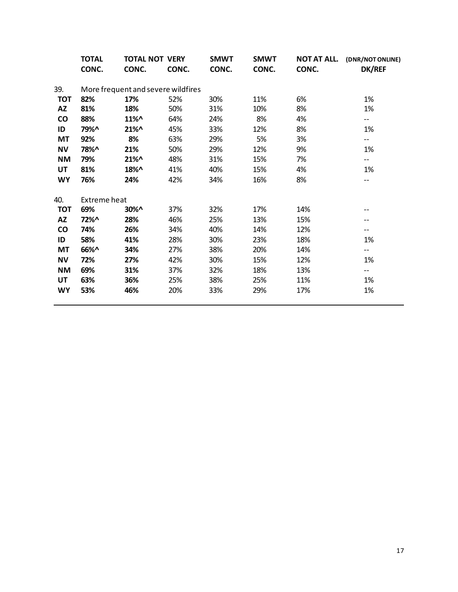|            | <b>TOTAL</b> |          | <b>TOTAL NOT VERY</b>              | <b>SMWT</b> | <b>SMWT</b> | NOT AT ALL. | (DNR/NOT ONLINE)         |
|------------|--------------|----------|------------------------------------|-------------|-------------|-------------|--------------------------|
|            | CONC.        | CONC.    | CONC.                              | CONC.       | CONC.       | CONC.       | <b>DK/REF</b>            |
| 39.        |              |          | More frequent and severe wildfires |             |             |             |                          |
| <b>TOT</b> | 82%          | 17%      | 52%                                | 30%         | 11%         | 6%          | 1%                       |
| <b>AZ</b>  | 81%          | 18%      | 50%                                | 31%         | 10%         | 8%          | 1%                       |
| <b>CO</b>  | 88%          | $11\%$ ^ | 64%                                | 24%         | 8%          | 4%          | $--$                     |
| ID         | 79%^         | $21\%$   | 45%                                | 33%         | 12%         | 8%          | 1%                       |
| MT         | 92%          | 8%       | 63%                                | 29%         | 5%          | 3%          | $- -$                    |
| <b>NV</b>  | 78%^         | 21%      | 50%                                | 29%         | 12%         | 9%          | 1%                       |
| <b>NM</b>  | 79%          | $21\%$ ^ | 48%                                | 31%         | 15%         | 7%          | $\overline{\phantom{a}}$ |
| UT         | 81%          | 18%^     | 41%                                | 40%         | 15%         | 4%          | 1%                       |
| <b>WY</b>  | 76%          | 24%      | 42%                                | 34%         | 16%         | 8%          | $- -$                    |
| 40.        | Extreme heat |          |                                    |             |             |             |                          |
| <b>TOT</b> | 69%          | $30\%$ ^ | 37%                                | 32%         | 17%         | 14%         | --                       |
| AZ         | 72%^         | 28%      | 46%                                | 25%         | 13%         | 15%         | --                       |
| <b>CO</b>  | 74%          | 26%      | 34%                                | 40%         | 14%         | 12%         | --                       |
| ID         | 58%          | 41%      | 28%                                | 30%         | 23%         | 18%         | 1%                       |
| <b>MT</b>  | 66%^         | 34%      | 27%                                | 38%         | 20%         | 14%         | $- -$                    |
| <b>NV</b>  | 72%          | 27%      | 42%                                | 30%         | 15%         | 12%         | 1%                       |
| <b>NM</b>  | 69%          | 31%      | 37%                                | 32%         | 18%         | 13%         | --                       |
| UT         | 63%          | 36%      | 25%                                | 38%         | 25%         | 11%         | 1%                       |
| <b>WY</b>  | 53%          | 46%      | 20%                                | 33%         | 29%         | 17%         | 1%                       |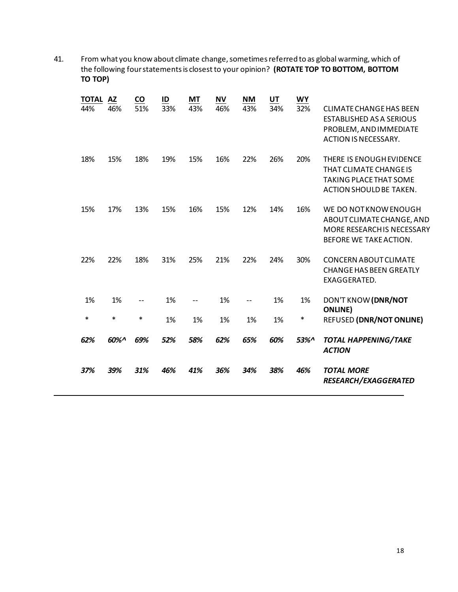41. From what you know about climate change, sometimes referred to as global warming, which of the following four statements is closestto your opinion? **(ROTATE TOP TO BOTTOM, BOTTOM TO TOP)**

| <b>TOTAL</b><br>44% | <b>AZ</b><br>46% | CO<br>51% | ID<br>33% | <b>MT</b><br>43% | <b>NV</b><br>46% | <b>NM</b><br>43% | UT<br>34% | <b>WY</b><br>32% | <b>CLIMATE CHANGE HAS BEEN</b><br><b>ESTABLISHED AS A SERIOUS</b><br>PROBLEM, AND IMMEDIATE<br><b>ACTION IS NECESSARY.</b> |
|---------------------|------------------|-----------|-----------|------------------|------------------|------------------|-----------|------------------|----------------------------------------------------------------------------------------------------------------------------|
| 18%                 | 15%              | 18%       | 19%       | 15%              | 16%              | 22%              | 26%       | 20%              | THERE IS ENOUGH EVIDENCE<br>THAT CLIMATE CHANGE IS<br><b>TAKING PLACE THAT SOME</b><br>ACTION SHOULD BE TAKEN.             |
| 15%                 | 17%              | 13%       | 15%       | 16%              | 15%              | 12%              | 14%       | 16%              | WE DO NOTKNOW ENOUGH<br>ABOUT CLIMATE CHANGE, AND<br>MORE RESEARCH IS NECESSARY<br>BEFORE WE TAKE ACTION.                  |
| 22%                 | 22%              | 18%       | 31%       | 25%              | 21%              | 22%              | 24%       | 30%              | <b>CONCERN ABOUT CLIMATE</b><br><b>CHANGE HAS BEEN GREATLY</b><br>EXAGGERATED.                                             |
| 1%                  | 1%               |           | 1%        | $- -$            | 1%               | $- -$            | 1%        | 1%               | DON'T KNOW (DNR/NOT<br><b>ONLINE</b> )                                                                                     |
| $\ast$              | $\ast$           | $\ast$    | 1%        | 1%               | 1%               | 1%               | 1%        | $\ast$           | <b>REFUSED (DNR/NOT ONLINE)</b>                                                                                            |
| 62%                 | 60%^             | 69%       | 52%       | 58%              | 62%              | 65%              | 60%       | 53%^             | <b>TOTAL HAPPENING/TAKE</b><br><b>ACTION</b>                                                                               |
| 37%                 | 39%              | 31%       | 46%       | 41%              | 36%              | 34%              | 38%       | 46%              | <b>TOTAL MORE</b><br><b>RESEARCH/EXAGGERATED</b>                                                                           |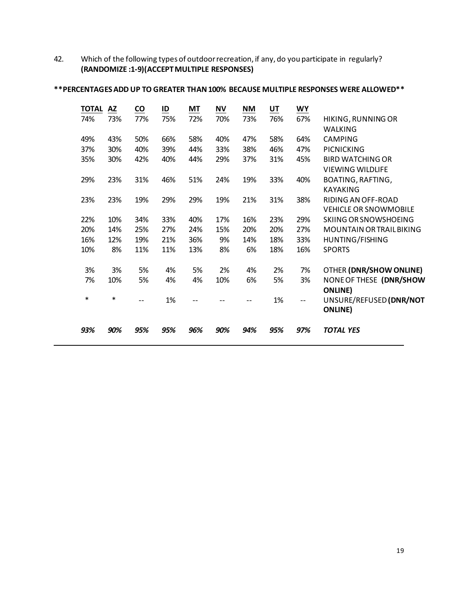42. Which of the following types of outdoor recreation, if any, do you participate in regularly? **(RANDOMIZE :1-9)(ACCEPT MULTIPLE RESPONSES)**

| <b>TOTAL</b> | <b>AZ</b> | $\underline{co}$ | $\underline{\mathsf{ID}}$ | MT  | ΝV  | <b>NM</b> | UT  | <b>WY</b> |                                |
|--------------|-----------|------------------|---------------------------|-----|-----|-----------|-----|-----------|--------------------------------|
| 74%          | 73%       | 77%              | 75%                       | 72% | 70% | 73%       | 76% | 67%       | HIKING, RUNNING OR             |
|              |           |                  |                           |     |     |           |     |           | <b>WALKING</b>                 |
| 49%          | 43%       | 50%              | 66%                       | 58% | 40% | 47%       | 58% | 64%       | <b>CAMPING</b>                 |
| 37%          | 30%       | 40%              | 39%                       | 44% | 33% | 38%       | 46% | 47%       | <b>PICNICKING</b>              |
| 35%          | 30%       | 42%              | 40%                       | 44% | 29% | 37%       | 31% | 45%       | <b>BIRD WATCHING OR</b>        |
|              |           |                  |                           |     |     |           |     |           | <b>VIEWING WILDLIFE</b>        |
| 29%          | 23%       | 31%              | 46%                       | 51% | 24% | 19%       | 33% | 40%       | BOATING, RAFTING,              |
|              |           |                  |                           |     |     |           |     |           | <b>KAYAKING</b>                |
| 23%          | 23%       | 19%              | 29%                       | 29% | 19% | 21%       | 31% | 38%       | RIDING AN OFF-ROAD             |
|              |           |                  |                           |     |     |           |     |           | <b>VEHICLE OR SNOWMOBILE</b>   |
| 22%          | 10%       | 34%              | 33%                       | 40% | 17% | 16%       | 23% | 29%       | <b>SKIING OR SNOWSHOEING</b>   |
| 20%          | 14%       | 25%              | 27%                       | 24% | 15% | 20%       | 20% | 27%       | MOUNTAIN OR TRAIL BIKING       |
| 16%          | 12%       | 19%              | 21%                       | 36% | 9%  | 14%       | 18% | 33%       | HUNTING/FISHING                |
| 10%          | 8%        | 11%              | 11%                       | 13% | 8%  | 6%        | 18% | 16%       | <b>SPORTS</b>                  |
|              |           |                  |                           |     |     |           |     |           |                                |
| 3%           | 3%        | 5%               | 4%                        | 5%  | 2%  | 4%        | 2%  | 7%        | <b>OTHER (DNR/SHOW ONLINE)</b> |
| 7%           | 10%       | 5%               | 4%                        | 4%  | 10% | 6%        | 5%  | 3%        | NONE OF THESE (DNR/SHOW        |
|              |           |                  |                           |     |     |           |     |           | <b>ONLINE</b> )                |
| *            | $\ast$    | $- -$            | 1%                        | --  |     |           | 1%  | --        | UNSURE/REFUSED (DNR/NOT        |
|              |           |                  |                           |     |     |           |     |           | <b>ONLINE</b> )                |
| 93%          | 90%       | 95%              | 95%                       | 96% | 90% | 94%       | 95% | 97%       | <b>TOTAL YES</b>               |
|              |           |                  |                           |     |     |           |     |           |                                |

**\*\*PERCENTAGES ADD UP TO GREATER THAN 100% BECAUSE MULTIPLE RESPONSES WERE ALLOWED\*\***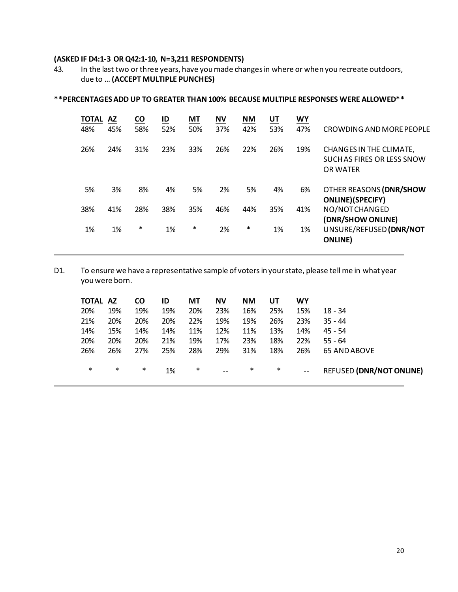# **(ASKED IF D4:1-3 OR Q42:1-10, N=3,211 RESPONDENTS)**

43. In the last two or three years, have you made changes in where or when you recreate outdoors, due to … **(ACCEPT MULTIPLE PUNCHES)**

| <b>TOTAL</b><br>48% | <b>AZ</b><br>45% | <b>CO</b><br>58% | ID<br>52% | <b>MT</b><br>50% | <b>NV</b><br>37% | <b>NM</b><br>42% | $U$ T<br>53% | WY<br>47% | CROWDING AND MORE PEOPLE                                                 |
|---------------------|------------------|------------------|-----------|------------------|------------------|------------------|--------------|-----------|--------------------------------------------------------------------------|
| 26%                 | 24%              | 31%              | 23%       | 33%              | 26%              | 22%              | 26%          | 19%       | CHANGES IN THE CLIMATE,<br>SUCH AS FIRES OR LESS SNOW<br><b>OR WATER</b> |
| 5%                  | 3%               | 8%               | 4%        | 5%               | 2%               | 5%               | 4%           | 6%        | OTHER REASONS (DNR/SHOW<br><b>ONLINE</b> )(SPECIFY)                      |
| 38%                 | 41%              | 28%              | 38%       | 35%              | 46%              | 44%              | 35%          | 41%       | NO/NOTCHANGED<br>(DNR/SHOW ONLINE)                                       |
| 1%                  | 1%               | $\ast$           | 1%        | $\ast$           | 2%               | *                | 1%           | 1%        | UNSURE/REFUSED (DNR/NOT<br><b>ONLINE</b> )                               |

# **\*\*PERCENTAGES ADD UP TO GREATER THAN 100% BECAUSE MULTIPLE RESPONSES WERE ALLOWED\*\***

D1. To ensure we have a representative sample of voters in your state, please tell me in what year you were born.

| <b>TOTAL AZ</b> |        | <b>CO</b> | ID  | MT     | <b>NV</b> | <b>NM</b> | UT     | WY                |                                 |
|-----------------|--------|-----------|-----|--------|-----------|-----------|--------|-------------------|---------------------------------|
| 20%             | 19%    | 19%       | 19% | 20%    | 23%       | 16%       | 25%    | 15%               | $18 - 34$                       |
| 21%             | 20%    | 20%       | 20% | 22%    | 19%       | 19%       | 26%    | 23%               | $35 - 44$                       |
| 14%             | 15%    | 14%       | 14% | 11%    | 12%       | 11%       | 13%    | 14%               | $45 - 54$                       |
| 20%             | 20%    | 20%       | 21% | 19%    | 17%       | 23%       | 18%    | 22%               | $55 - 64$                       |
| 26%             | 26%    | 27%       | 25% | 28%    | 29%       | 31%       | 18%    | 26%               | <b>65 AND ABOVE</b>             |
| $\ast$          | $\ast$ | $\ast$    | 1%  | $\ast$ | $\sim$    | $\ast$    | $\ast$ | $\qquad \qquad -$ | <b>REFUSED (DNR/NOT ONLINE)</b> |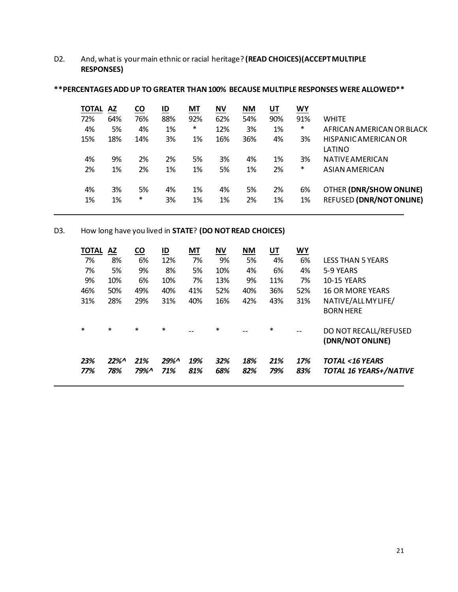D2. And, what is your main ethnic or racial heritage? **(READ CHOICES)(ACCEPT MULTIPLE RESPONSES)**

| <b>TOTAL</b><br>ΑZ |     | <b>CO</b> | ID  | МT  | ΝV  | <b>NM</b> | <u>UT</u> | WY     |                                 |
|--------------------|-----|-----------|-----|-----|-----|-----------|-----------|--------|---------------------------------|
| 72%                | 64% | 76%       | 88% | 92% | 62% | 54%       | 90%       | 91%    | <b>WHITE</b>                    |
| 4%                 | 5%  | 4%        | 1%  | *   | 12% | 3%        | 1%        | $\ast$ | AFRICAN AMERICAN OR BLACK       |
| 15%                | 18% | 14%       | 3%  | 1%  | 16% | 36%       | 4%        | 3%     | HISPANIC AMERICAN OR            |
|                    |     |           |     |     |     |           |           |        | LATINO                          |
| 4%                 | 9%  | 2%        | 2%  | 5%  | 3%  | 4%        | 1%        | 3%     | NATIVE AMERICAN                 |
| 2%                 | 1%  | 2%        | 1%  | 1%  | 5%  | 1%        | 2%        | *      | ASIAN AMERICAN                  |
|                    |     |           |     |     |     |           |           |        |                                 |
| 4%                 | 3%  | 5%        | 4%  | 1%  | 4%  | 5%        | 2%        | 6%     | OTHER (DNR/SHOW ONLINE)         |
| 1%                 | 1%  | *         | 3%  | 1%  | 1%  | 2%        | 1%        | 1%     | <b>REFUSED (DNR/NOT ONLINE)</b> |
|                    |     |           |     |     |     |           |           |        |                                 |

#### **\*\*PERCENTAGES ADD UP TO GREATER THAN 100% BECAUSE MULTIPLE RESPONSES WERE ALLOWED\*\***

D3. How long have you lived in **STATE**? **(DO NOT READ CHOICES)**

| TOTAL<br><b>AZ</b> |               | <b>CO</b>          | <u>ID</u>  | МT         | <b>NV</b>  | <b>NM</b>  | UT         | WY         |                                                            |
|--------------------|---------------|--------------------|------------|------------|------------|------------|------------|------------|------------------------------------------------------------|
| 7%                 | 8%            | 6%                 | 12%        | 7%         | 9%         | 5%         | 4%         | 6%         | <b>LESS THAN 5 YEARS</b>                                   |
| 7%                 | 5%            | 9%                 | 8%         | 5%         | 10%        | 4%         | 6%         | 4%         | 5-9 YEARS                                                  |
| 9%                 | 10%           | 6%                 | 10%        | 7%         | 13%        | 9%         | 11%        | 7%         | <b>10-15 YEARS</b>                                         |
| 46%                | 50%           | 49%                | 40%        | 41%        | 52%        | 40%        | 36%        | 52%        | <b>16 OR MORE YEARS</b>                                    |
| 31%                | 28%           | 29%                | 31%        | 40%        | 16%        | 42%        | 43%        | 31%        | NATIVE/ALL MY LIFE/                                        |
|                    |               |                    |            |            |            |            |            |            | <b>BORN HERE</b>                                           |
| $\ast$             | $\ast$        | $\ast$             | $\ast$     |            | $\ast$     | --         | $\ast$     | $-$        | DO NOT RECALL/REFUSED<br>(DNR/NOT ONLINE)                  |
| 23%<br>77%         | $22\%$<br>78% | 21%<br><b>79%^</b> | 29%<br>71% | 19%<br>81% | 32%<br>68% | 18%<br>82% | 21%<br>79% | 17%<br>83% | <b>TOTAL &lt;16 YEARS</b><br><b>TOTAL 16 YEARS+/NATIVE</b> |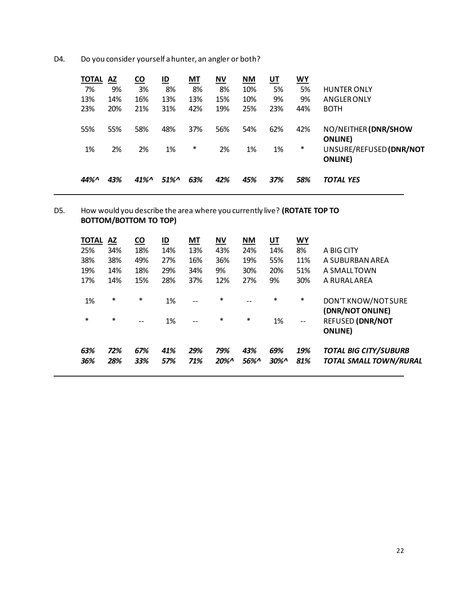D4. Do you consider yourself a hunter, an angler or both?

| <b>TOTAL</b> | <b>AZ</b> | <b>CO</b>                             | $\underline{\mathsf{ID}}$ | <b>MT</b>     | <b>NV</b> | <b>NM</b> | <u>UT</u> | WY       |                                                                    |
|--------------|-----------|---------------------------------------|---------------------------|---------------|-----------|-----------|-----------|----------|--------------------------------------------------------------------|
| 7%           | 9%        | 3%                                    | 8%                        | 8%            | 8%        | 10%       | 5%        | 5%       | <b>HUNTER ONLY</b>                                                 |
| 13%          | 14%       | 16%                                   | 13%                       | 13%           | 15%       | 10%       | 9%        | 9%       | <b>ANGLER ONLY</b>                                                 |
| 23%          | 20%       | 21%                                   | 31%                       | 42%           | 19%       | 25%       | 23%       | 44%      | <b>BOTH</b>                                                        |
| 55%<br>1%    | 55%<br>2% | 58%<br>2%                             | 48%<br>1%                 | 37%<br>$\ast$ | 56%<br>2% | 54%<br>1% | 62%<br>1% | 42%<br>* | NO/NEITHER (DNR/SHOW<br><b>ONLINE</b> )<br>UNSURE/REFUSED (DNR/NOT |
|              |           |                                       |                           |               |           |           |           |          | <b>ONLINE</b> )                                                    |
| 44%^         | 43%       | $41\%$ <sup><math>\wedge</math></sup> | $51\%$                    | 63%           | 42%       | 45%       | 37%       | 58%      | <b>TOTAL YES</b>                                                   |

## D5. How would you describe the area where you currently live? **(ROTATE TOP TO BOTTOM/BOTTOM TO TOP)**

| <b>TOTAL</b><br>25%<br>38%<br>19%<br>17% | AZ<br>34%<br>38%<br>14%<br>14% | <b>CO</b><br>18%<br>49%<br>18%<br>15% | $\underline{\mathsf{ID}}$<br>14%<br>27%<br>29%<br>28% | МT<br>13%<br>16%<br>34%<br>37% | ΝV<br>43%<br>36%<br>9%<br>12% | <b>NM</b><br>24%<br>19%<br>30%<br>27% | UT<br>14%<br>55%<br>20%<br>9% | <b>WY</b><br>8%<br>11%<br>51%<br>30% | A BIG CITY<br>A SUBURBAN AREA<br>A SMALLTOWN<br>A RURALAREA                           |
|------------------------------------------|--------------------------------|---------------------------------------|-------------------------------------------------------|--------------------------------|-------------------------------|---------------------------------------|-------------------------------|--------------------------------------|---------------------------------------------------------------------------------------|
| 1%<br>$\ast$                             | $\ast$<br>$\ast$               | $\ast$<br>$-$                         | 1%<br>1%                                              | $- -$<br>$- -$                 | $\ast$<br>$\ast$              | $\ast$                                | $\ast$<br>1%                  | $\ast$<br>$-$                        | DON'T KNOW/NOT SURE<br>(DNR/NOT ONLINE)<br><b>REFUSED (DNR/NOT</b><br><b>ONLINE</b> ) |
| 63%<br>36%                               | 72%<br>28%                     | 67%<br>33%                            | 41%<br>57%                                            | 29%<br>71%                     | 79%<br>20%                    | 43%<br>56%^                           | 69%<br>$30\%$                 | 19%<br>81%                           | <b>TOTAL BIG CITY/SUBURB</b><br><b>TOTAL SMALL TOWN/RURAL</b>                         |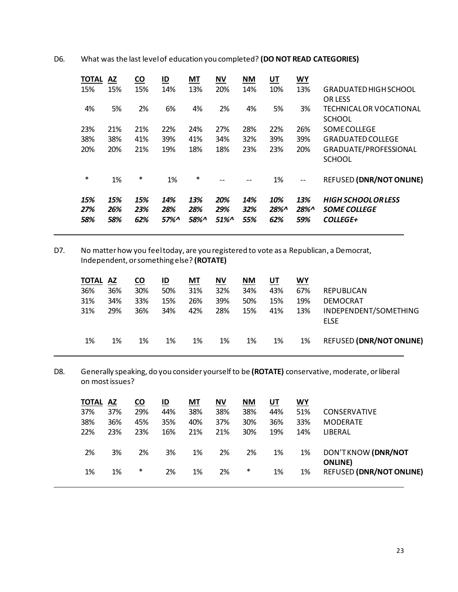D6. What was the last level of education you completed? **(DO NOT READ CATEGORIES)**

| <b>TOTAL</b><br><b>AZ</b> | <b>CO</b>         | ID                | <b>MT</b>          | <b>NV</b>            | <b>NM</b>         | UT                | <b>WY</b>                |                                                                      |
|---------------------------|-------------------|-------------------|--------------------|----------------------|-------------------|-------------------|--------------------------|----------------------------------------------------------------------|
| 15%                       | 15%               | 14%               | 13%                | 20%                  | 14%               | 10%               | 13%                      | <b>GRADUATED HIGH SCHOOL</b>                                         |
|                           |                   |                   |                    |                      |                   |                   |                          | <b>OR LESS</b>                                                       |
| 5%                        | 2%                | 6%                | 4%                 | 2%                   | 4%                | 5%                | 3%                       | TECHNICAL OR VOCATIONAL                                              |
|                           |                   |                   |                    |                      |                   |                   |                          | <b>SCHOOL</b>                                                        |
| 21%                       | 21%               | 22%               | 24%                | 27%                  | 28%               | 22%               | 26%                      | <b>SOME COLLEGE</b>                                                  |
| 38%                       | 41%               | 39%               | 41%                | 34%                  | 32%               | 39%               | 39%                      | <b>GRADUATED COLLEGE</b>                                             |
| 20%                       | 21%               | 19%               | 18%                | 18%                  | 23%               | 23%               | 20%                      | GRADUATE/PROFESSIONAL                                                |
|                           |                   |                   |                    |                      |                   |                   |                          | <b>SCHOOL</b>                                                        |
| 1%                        | *                 | 1%                | *                  | --                   | --                | 1%                | $\overline{\phantom{a}}$ | <b>REFUSED (DNR/NOT ONLINE)</b>                                      |
| 15%<br>26%<br>58%         | 15%<br>23%<br>62% | 14%<br>28%<br>57% | 13%<br>28%<br>58%^ | 20%<br>29%<br>$51\%$ | 14%<br>32%<br>55% | 10%<br>28%<br>62% | 13%<br>28%<br>59%        | <b>HIGH SCHOOL OR LESS</b><br><b>SOME COLLEGE</b><br><b>COLLEGE+</b> |
|                           |                   |                   |                    |                      |                   |                   |                          |                                                                      |

D7. No matter how you feel today, are you registered to vote as a Republican, a Democrat, Independent, or something else? **(ROTATE)**

| INDEPENDENT/SOMETHING           | <b>REPUBLICAN</b><br><b>DEMOCRAT</b><br><b>ELSE</b> | WY<br>67%<br>19%<br>13% | UT<br>43%<br>15%<br>41% | NΜ<br>34%<br>50%<br>15% | <b>NV</b><br>32%<br>39%<br>28% | МT<br>31%<br>26%<br>42% | $\underline{\mathsf{ID}}$<br>50%<br>15%<br>34% | <u>co</u><br>30%<br>33%<br>36% | AZ<br>36%<br>34%<br>29% | <b>TOTAL</b><br>36%<br>31%<br>31% |
|---------------------------------|-----------------------------------------------------|-------------------------|-------------------------|-------------------------|--------------------------------|-------------------------|------------------------------------------------|--------------------------------|-------------------------|-----------------------------------|
| <b>REFUSED (DNR/NOT ONLINE)</b> |                                                     | 1%                      | 1%                      | 1%                      | 1%                             | 1%                      | 1%                                             | 1%                             | 1%                      | 1%                                |

D8. Generally speaking, do you consider yourself to be **(ROTATE)** conservative, moderate, or liberal on most issues?

| <b>TOTAL</b> | AZ  | $\underline{\mathsf{co}}$ | ID  | МT  | <b>NV</b> | <b>NM</b> | UT  | <u>WY</u> |                                 |
|--------------|-----|---------------------------|-----|-----|-----------|-----------|-----|-----------|---------------------------------|
| 37%          | 37% | 29%                       | 44% | 38% | 38%       | 38%       | 44% | 51%       | <b>CONSERVATIVE</b>             |
| 38%          | 36% | 45%                       | 35% | 40% | 37%       | 30%       | 36% | 33%       | <b>MODERATE</b>                 |
| 22%          | 23% | 23%                       | 16% | 21% | 21%       | 30%       | 19% | 14%       | LIBERAL                         |
|              |     |                           |     |     |           |           |     |           |                                 |
| 2%           | 3%  | 2%                        | 3%  | 1%  | 2%        | 2%        | 1%  | 1%        | DON'TKNOW (DNR/NOT              |
|              |     |                           |     |     |           |           |     |           | <b>ONLINE</b>                   |
| 1%           | 1%  | *                         | 2%  | 1%  | 2%        | *         | 1%  | 1%        | <b>REFUSED (DNR/NOT ONLINE)</b> |
|              |     |                           |     |     |           |           |     |           |                                 |